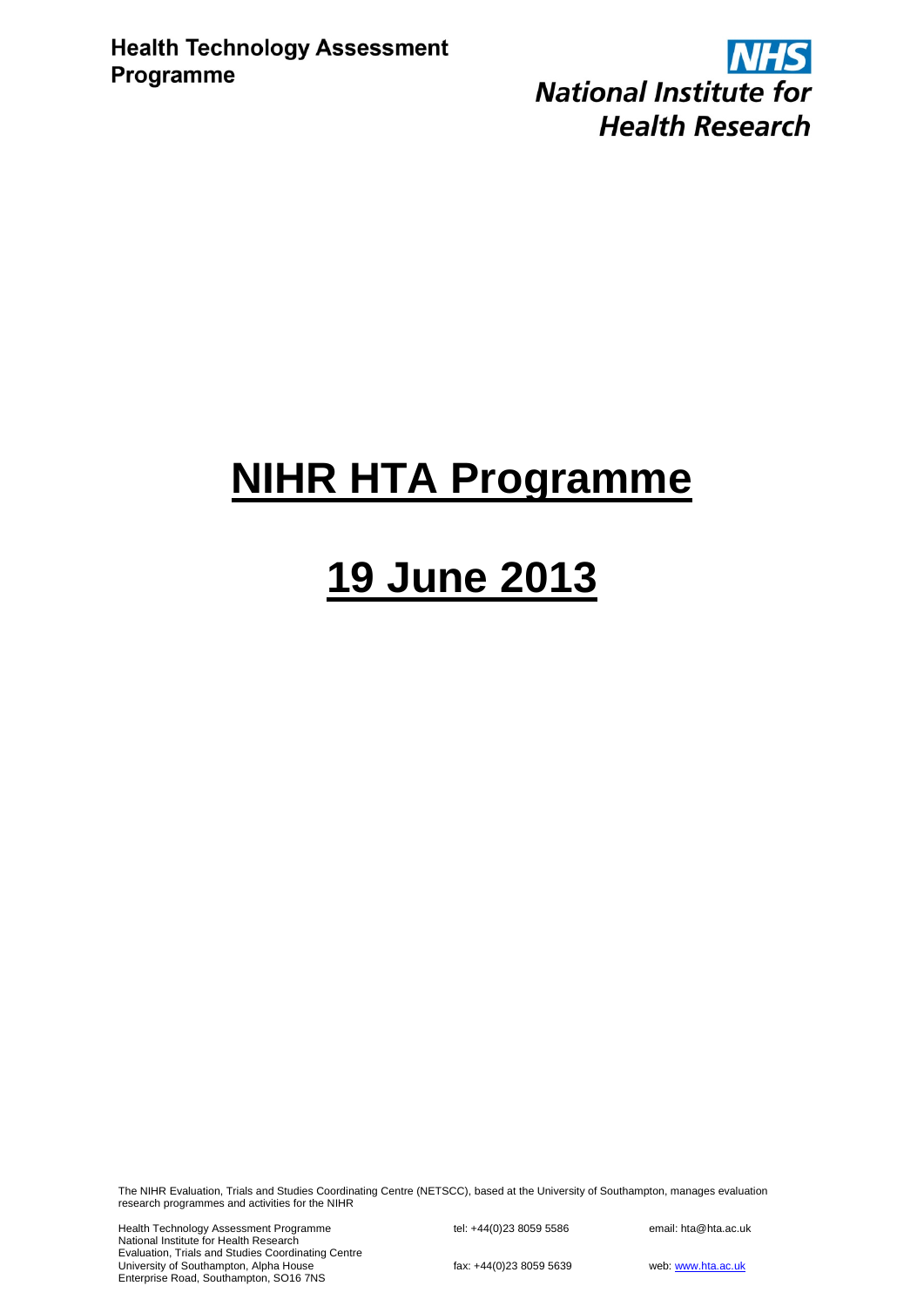**NHS National Institute for Health Research** 

## **NIHR HTA Programme**

# **19 June 2013**

The NIHR Evaluation, Trials and Studies Coordinating Centre (NETSCC), based at the University of Southampton, manages evaluation research programmes and activities for the NIHR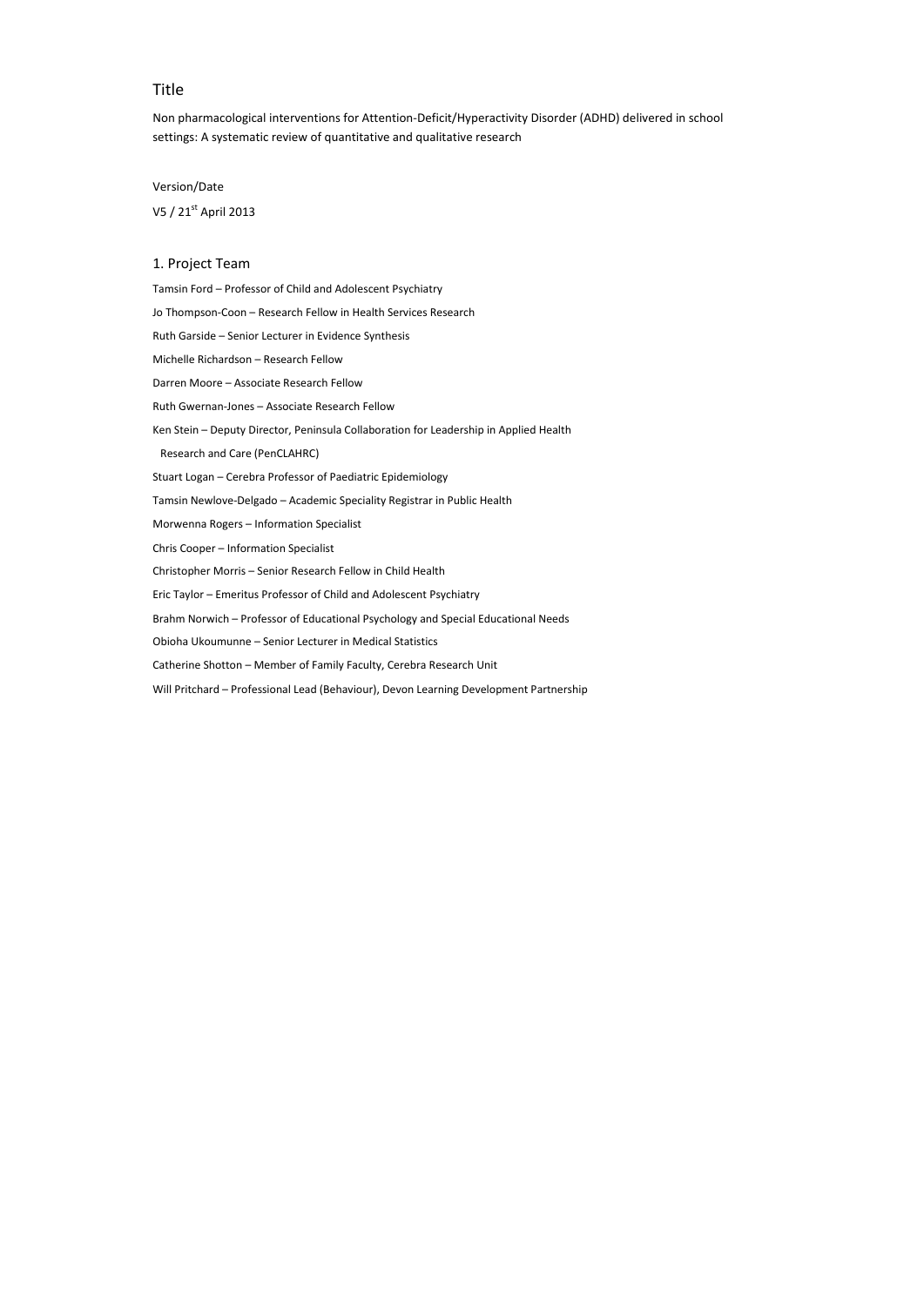## Title

Non pharmacological interventions for Attention-Deficit/Hyperactivity Disorder (ADHD) delivered in school settings: A systematic review of quantitative and qualitative research

## Version/Date

V5 / 21<sup>st</sup> April 2013

## 1. Project Team

- Tamsin Ford Professor of Child and Adolescent Psychiatry
- Jo Thompson-Coon Research Fellow in Health Services Research
- Ruth Garside Senior Lecturer in Evidence Synthesis
- Michelle Richardson Research Fellow
- Darren Moore Associate Research Fellow
- Ruth Gwernan-Jones Associate Research Fellow
- Ken Stein Deputy Director, Peninsula Collaboration for Leadership in Applied Health

Research and Care (PenCLAHRC)

- Stuart Logan Cerebra Professor of Paediatric Epidemiology
- Tamsin Newlove-Delgado Academic Speciality Registrar in Public Health
- Morwenna Rogers Information Specialist
- Chris Cooper Information Specialist
- Christopher Morris Senior Research Fellow in Child Health
- Eric Taylor Emeritus Professor of Child and Adolescent Psychiatry
- Brahm Norwich Professor of Educational Psychology and Special Educational Needs
- Obioha Ukoumunne Senior Lecturer in Medical Statistics
- Catherine Shotton Member of Family Faculty, Cerebra Research Unit
- Will Pritchard Professional Lead (Behaviour), Devon Learning Development Partnership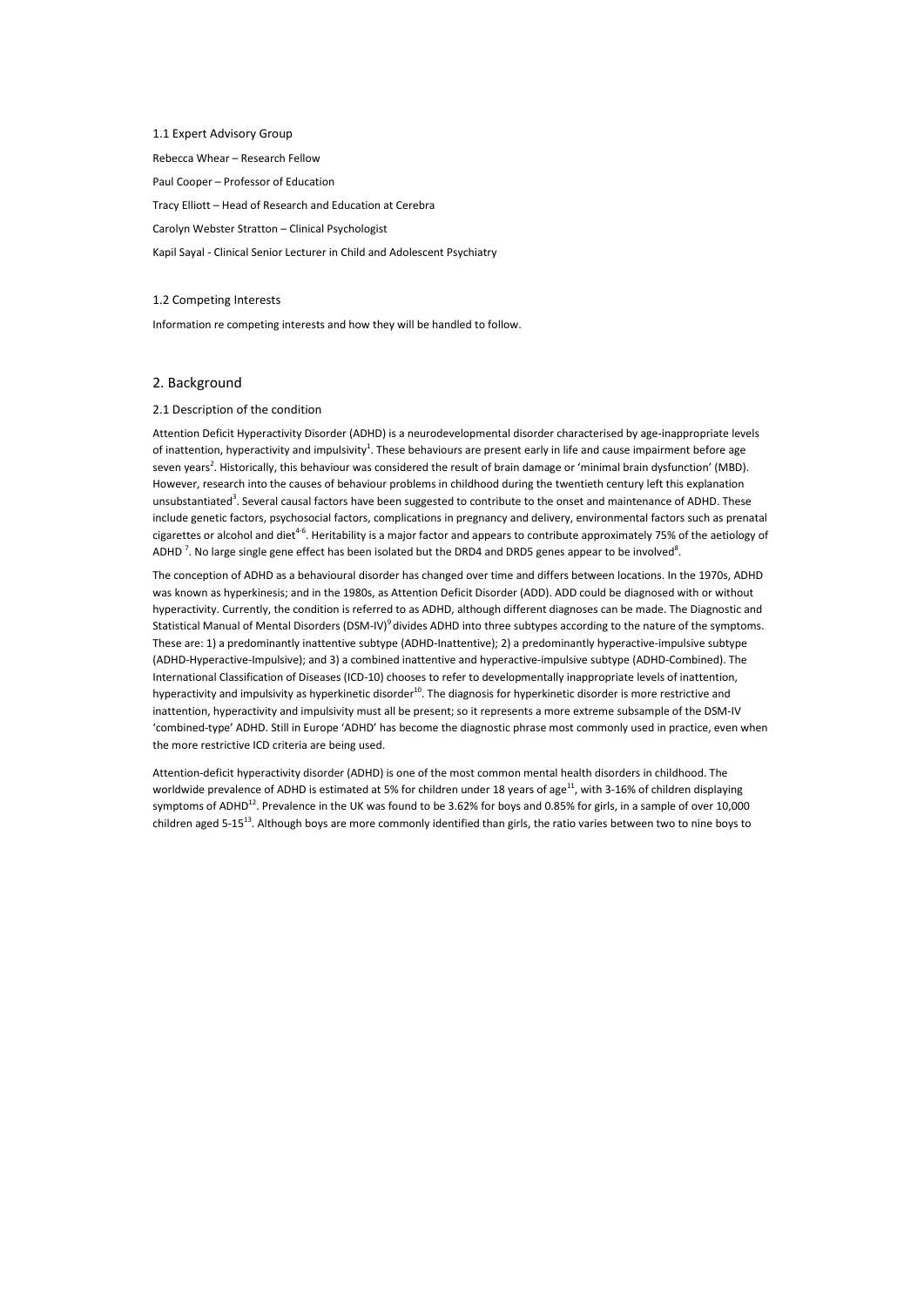1.1 Expert Advisory Group Rebecca Whear – Research Fellow Paul Cooper – Professor of Education Tracy Elliott – Head of Research and Education at Cerebra Carolyn Webster Stratton – Clinical Psychologist Kapil Sayal - Clinical Senior Lecturer in Child and Adolescent Psychiatry

Attention Deficit Hyperactivity Disorder (ADHD) is a neurodevelopmental disorder characterised by age-inappropriate levels of inattention, hyperactivity and impulsivity<sup>1</sup>. These behaviours are present early in life and cause impairment before age seven years<sup>2</sup>. Historically, this behaviour was considered the result of brain damage or 'minimal brain dysfunction' (MBD). However, research into the causes of behaviour problems in childhood during the twentieth century left this explanation unsubstantiated<sup>3</sup>. Several causal factors have been suggested to contribute to the onset and maintenance of ADHD. These include genetic factors, psychosocial factors, complications in pregnancy and delivery, environmental factors such as prenatal cigarettes or alcohol and diet<sup>4-6</sup>. Heritability is a major factor and appears to contribute approximately 75% of the aetiology of ADHD<sup>7</sup>. No large single gene effect has been isolated but the DRD4 and DRD5 genes appear to be involved<sup>8</sup>.

#### 1.2 Competing Interests

Information re competing interests and how they will be handled to follow.

## 2. Background

#### 2.1 Description of the condition

Attention-deficit hyperactivity disorder (ADHD) is one of the most common mental health disorders in childhood. The worldwide prevalence of ADHD is estimated at 5% for children under 18 years of age<sup>11</sup>, with 3-16% of children displaying symptoms of ADHD<sup>12</sup>. Prevalence in the UK was found to be 3.62% for boys and 0.85% for girls, in a sample of over 10,000 children aged 5-15<sup>13</sup>. Although boys are more commonly identified than girls, the ratio varies between two to nine boys to

The conception of ADHD as a behavioural disorder has changed over time and differs between locations. In the 1970s, ADHD was known as hyperkinesis; and in the 1980s, as Attention Deficit Disorder (ADD). ADD could be diagnosed with or without hyperactivity. Currently, the condition is referred to as ADHD, although different diagnoses can be made. The Diagnostic and Statistical Manual of Mental Disorders (DSM-IV)<sup>9</sup> divides ADHD into three subtypes according to the nature of the symptoms. These are: 1) a predominantly inattentive subtype (ADHD-Inattentive); 2) a predominantly hyperactive-impulsive subtype (ADHD-Hyperactive-Impulsive); and 3) a combined inattentive and hyperactive-impulsive subtype (ADHD-Combined). The International Classification of Diseases (ICD-10) chooses to refer to developmentally inappropriate levels of inattention, hyperactivity and impulsivity as hyperkinetic disorder<sup>10</sup>. The diagnosis for hyperkinetic disorder is more restrictive and inattention, hyperactivity and impulsivity must all be present; so it represents a more extreme subsample of the DSM-IV 'combined-type' ADHD. Still in Europe 'ADHD' has become the diagnostic phrase most commonly used in practice, even when the more restrictive ICD criteria are being used.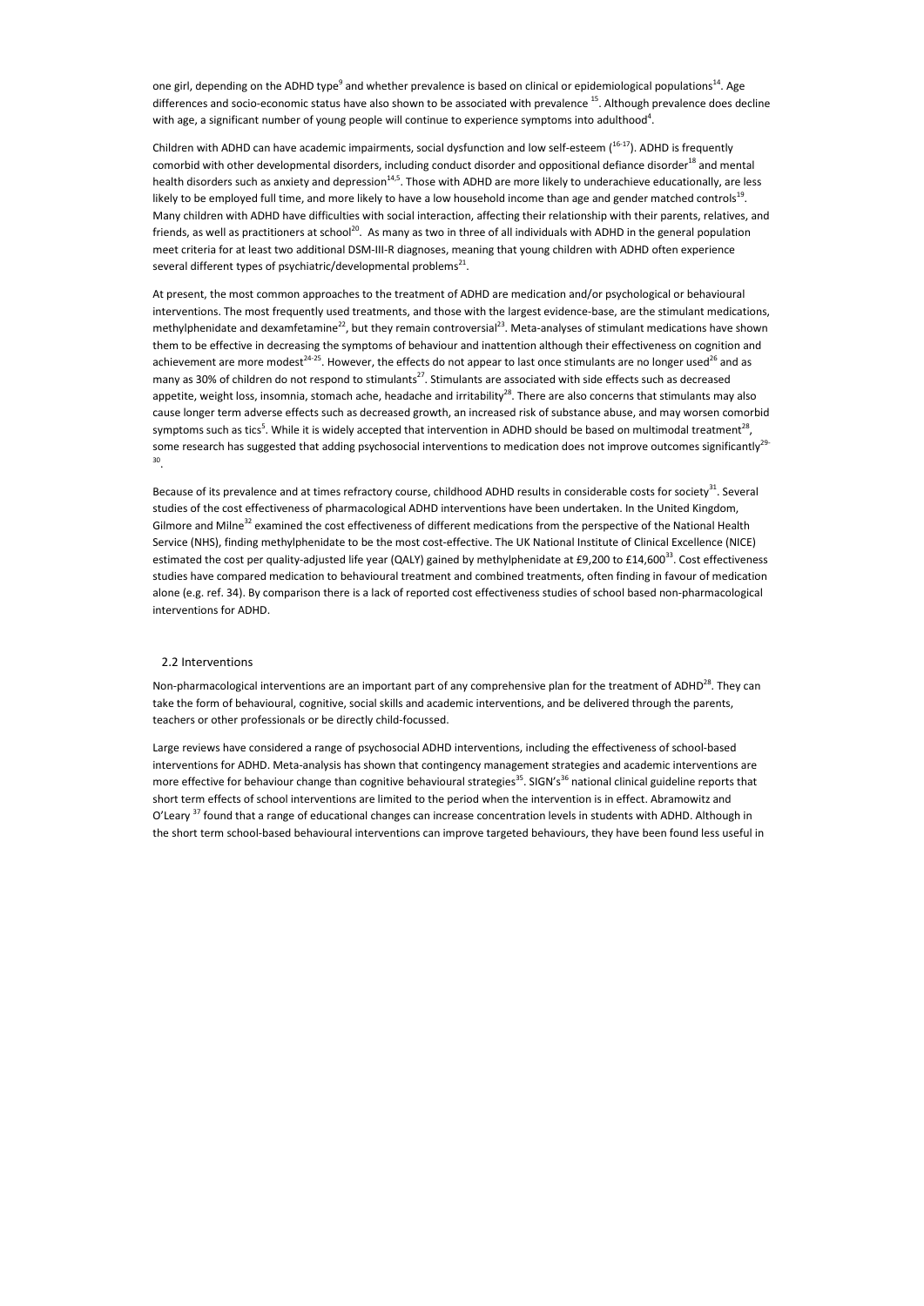one girl, depending on the ADHD type<sup>9</sup> and whether prevalence is based on clinical or epidemiological populations<sup>14</sup>. Age differences and socio-economic status have also shown to be associated with prevalence <sup>15</sup>. Although prevalence does decline with age, a significant number of young people will continue to experience symptoms into adulthood<sup>4</sup>.

Children with ADHD can have academic impairments, social dysfunction and low self-esteem  $(16-17)$ . ADHD is frequently comorbid with other developmental disorders, including conduct disorder and oppositional defiance disorder<sup>18</sup> and mental health disorders such as anxiety and depression<sup>14,5</sup>. Those with ADHD are more likely to underachieve educationally, are less likely to be employed full time, and more likely to have a low household income than age and gender matched controls<sup>19</sup>. Many children with ADHD have difficulties with social interaction, affecting their relationship with their parents, relatives, and friends, as well as practitioners at school<sup>20</sup>. As many as two in three of all individuals with ADHD in the general population meet criteria for at least two additional DSM-III-R diagnoses, meaning that young children with ADHD often experience several different types of psychiatric/developmental problems<sup>21</sup>.

Because of its prevalence and at times refractory course, childhood ADHD results in considerable costs for society<sup>31</sup>. Several studies of the cost effectiveness of pharmacological ADHD interventions have been undertaken. In the United Kingdom, Gilmore and Milne<sup>32</sup> examined the cost effectiveness of different medications from the perspective of the National Health Service (NHS), finding methylphenidate to be the most cost-effective. The UK National Institute of Clinical Excellence (NICE) estimated the cost per quality-adjusted life year (QALY) gained by methylphenidate at £9,200 to £14,600<sup>33</sup>. Cost effectiveness studies have compared medication to behavioural treatment and combined treatments, often finding in favour of medication alone (e.g. ref. 34). By comparison there is a lack of reported cost effectiveness studies of school based non-pharmacological interventions for ADHD.

Non-pharmacological interventions are an important part of any comprehensive plan for the treatment of ADHD<sup>28</sup>. They can take the form of behavioural, cognitive, social skills and academic interventions, and be delivered through the parents, teachers or other professionals or be directly child-focussed.

At present, the most common approaches to the treatment of ADHD are medication and/or psychological or behavioural interventions. The most frequently used treatments, and those with the largest evidence-base, are the stimulant medications, methylphenidate and dexamfetamine<sup>22</sup>, but they remain controversial<sup>23</sup>. Meta-analyses of stimulant medications have shown them to be effective in decreasing the symptoms of behaviour and inattention although their effectiveness on cognition and achievement are more modest<sup>24-25</sup>. However, the effects do not appear to last once stimulants are no longer used<sup>26</sup> and as many as 30% of children do not respond to stimulants<sup>27</sup>. Stimulants are associated with side effects such as decreased appetite, weight loss, insomnia, stomach ache, headache and irritability<sup>28</sup>. There are also concerns that stimulants may also cause longer term adverse effects such as decreased growth, an increased risk of substance abuse, and may worsen comorbid symptoms such as tics<sup>5</sup>. While it is widely accepted that intervention in ADHD should be based on multimodal treatment<sup>28</sup>, some research has suggested that adding psychosocial interventions to medication does not improve outcomes significantly<sup>29</sup> 30 .

## 2.2 Interventions

Large reviews have considered a range of psychosocial ADHD interventions, including the effectiveness of school-based interventions for ADHD. Meta-analysis has shown that contingency management strategies and academic interventions are more effective for behaviour change than cognitive behavioural strategies<sup>35</sup>. SIGN's<sup>36</sup> national clinical guideline reports that short term effects of school interventions are limited to the period when the intervention is in effect. Abramowitz and O'Learv<sup>37</sup> found that a range of educational changes can increase concentration levels in students with ADHD. Although in the short term school-based behavioural interventions can improve targeted behaviours, they have been found less useful in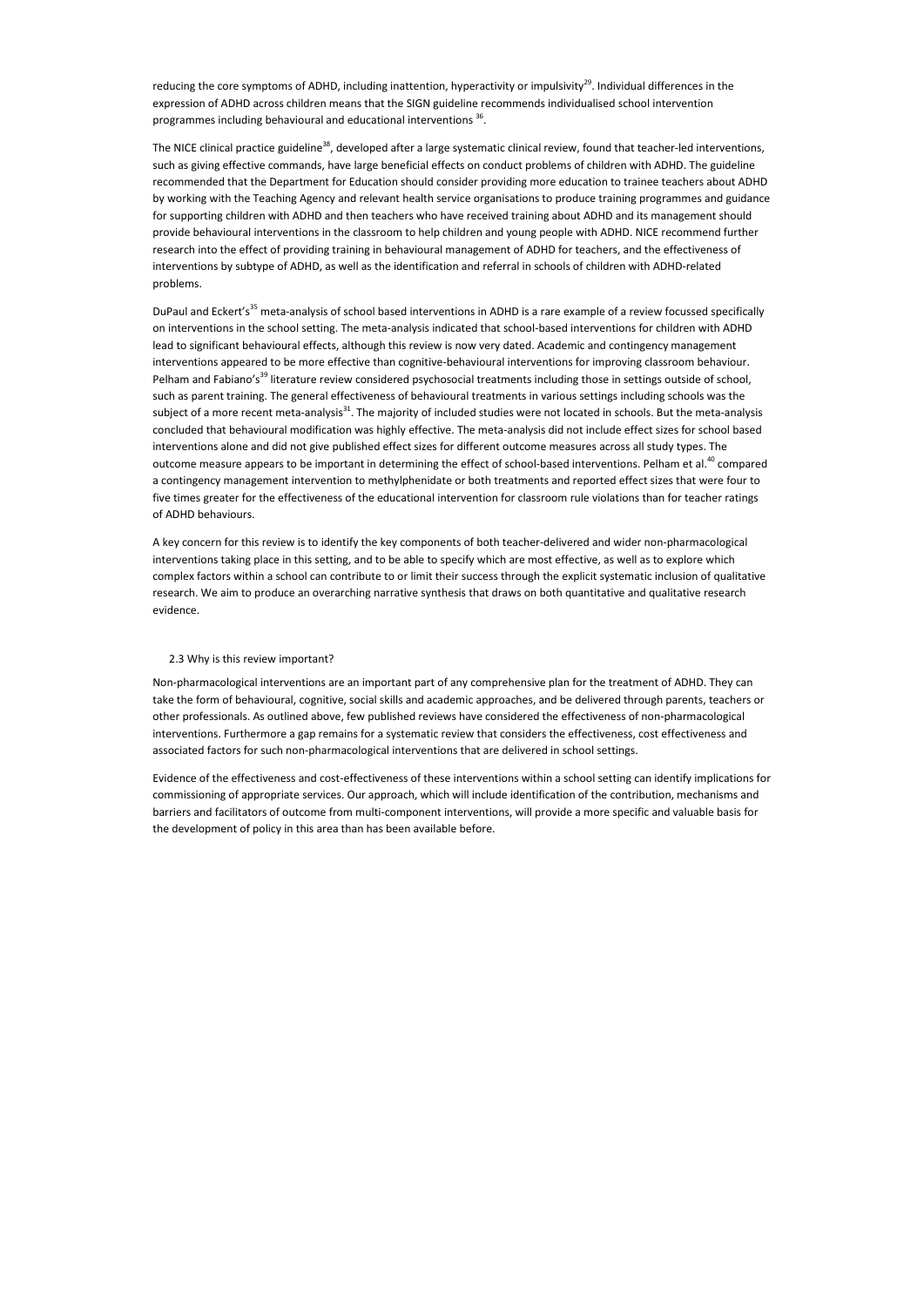reducing the core symptoms of ADHD, including inattention, hyperactivity or impulsivity<sup>29</sup>. Individual differences in the expression of ADHD across children means that the SIGN guideline recommends individualised school intervention programmes including behavioural and educational interventions <sup>36</sup>.

The NICE clinical practice guideline<sup>38</sup>, developed after a large systematic clinical review, found that teacher-led interventions, such as giving effective commands, have large beneficial effects on conduct problems of children with ADHD. The guideline recommended that the Department for Education should consider providing more education to trainee teachers about ADHD by working with the Teaching Agency and relevant health service organisations to produce training programmes and guidance for supporting children with ADHD and then teachers who have received training about ADHD and its management should provide behavioural interventions in the classroom to help children and young people with ADHD. NICE recommend further research into the effect of providing training in behavioural management of ADHD for teachers, and the effectiveness of interventions by subtype of ADHD, as well as the identification and referral in schools of children with ADHD-related problems.

DuPaul and Eckert's<sup>35</sup> meta-analysis of school based interventions in ADHD is a rare example of a review focussed specifically on interventions in the school setting. The meta-analysis indicated that school-based interventions for children with ADHD lead to significant behavioural effects, although this review is now very dated. Academic and contingency management interventions appeared to be more effective than cognitive-behavioural interventions for improving classroom behaviour. Pelham and Fabiano's<sup>39</sup> literature review considered psychosocial treatments including those in settings outside of school, such as parent training. The general effectiveness of behavioural treatments in various settings including schools was the subject of a more recent meta-analysis<sup>31</sup>. The majority of included studies were not located in schools. But the meta-analysis concluded that behavioural modification was highly effective. The meta-analysis did not include effect sizes for school based interventions alone and did not give published effect sizes for different outcome measures across all study types. The outcome measure appears to be important in determining the effect of school-based interventions. Pelham et al.<sup>40</sup> compared a contingency management intervention to methylphenidate or both treatments and reported effect sizes that were four to five times greater for the effectiveness of the educational intervention for classroom rule violations than for teacher ratings of ADHD behaviours.

A key concern for this review is to identify the key components of both teacher-delivered and wider non-pharmacological interventions taking place in this setting, and to be able to specify which are most effective, as well as to explore which complex factors within a school can contribute to or limit their success through the explicit systematic inclusion of qualitative research. We aim to produce an overarching narrative synthesis that draws on both quantitative and qualitative research evidence.

#### 2.3 Why is this review important?

Non-pharmacological interventions are an important part of any comprehensive plan for the treatment of ADHD. They can take the form of behavioural, cognitive, social skills and academic approaches, and be delivered through parents, teachers or other professionals. As outlined above, few published reviews have considered the effectiveness of non-pharmacological interventions. Furthermore a gap remains for a systematic review that considers the effectiveness, cost effectiveness and associated factors for such non-pharmacological interventions that are delivered in school settings.

Evidence of the effectiveness and cost-effectiveness of these interventions within a school setting can identify implications for commissioning of appropriate services. Our approach, which will include identification of the contribution, mechanisms and barriers and facilitators of outcome from multi-component interventions, will provide a more specific and valuable basis for the development of policy in this area than has been available before.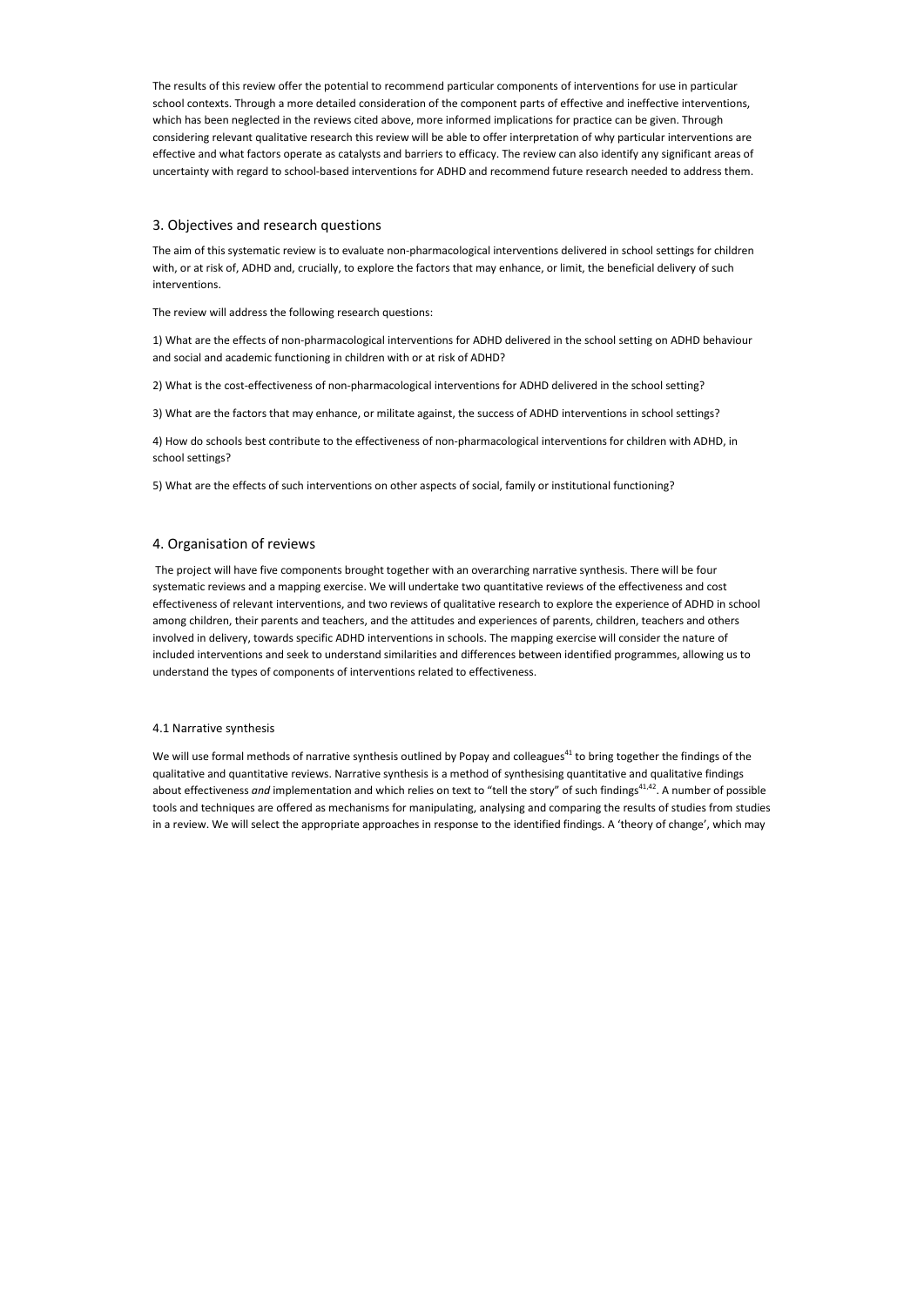The results of this review offer the potential to recommend particular components of interventions for use in particular school contexts. Through a more detailed consideration of the component parts of effective and ineffective interventions, which has been neglected in the reviews cited above, more informed implications for practice can be given. Through considering relevant qualitative research this review will be able to offer interpretation of why particular interventions are effective and what factors operate as catalysts and barriers to efficacy. The review can also identify any significant areas of uncertainty with regard to school-based interventions for ADHD and recommend future research needed to address them.

## 3. Objectives and research questions

The aim of this systematic review is to evaluate non-pharmacological interventions delivered in school settings for children with, or at risk of, ADHD and, crucially, to explore the factors that may enhance, or limit, the beneficial delivery of such interventions.

The review will address the following research questions:

1) What are the effects of non-pharmacological interventions for ADHD delivered in the school setting on ADHD behaviour and social and academic functioning in children with or at risk of ADHD?

2) What is the cost-effectiveness of non-pharmacological interventions for ADHD delivered in the school setting?

3) What are the factors that may enhance, or militate against, the success of ADHD interventions in school settings?

4) How do schools best contribute to the effectiveness of non-pharmacological interventions for children with ADHD, in school settings?

We will use formal methods of narrative synthesis outlined by Popay and colleagues<sup>41</sup> to bring together the findings of the qualitative and quantitative reviews. Narrative synthesis is a method of synthesising quantitative and qualitative findings about effectiveness *and* implementation and which relies on text to "tell the story" of such findings<sup>41,42</sup>. A number of possible tools and techniques are offered as mechanisms for manipulating, analysing and comparing the results of studies from studies in a review. We will select the appropriate approaches in response to the identified findings. A 'theory of change', which may

5) What are the effects of such interventions on other aspects of social, family or institutional functioning?

## 4. Organisation of reviews

 The project will have five components brought together with an overarching narrative synthesis. There will be four systematic reviews and a mapping exercise. We will undertake two quantitative reviews of the effectiveness and cost effectiveness of relevant interventions, and two reviews of qualitative research to explore the experience of ADHD in school among children, their parents and teachers, and the attitudes and experiences of parents, children, teachers and others involved in delivery, towards specific ADHD interventions in schools. The mapping exercise will consider the nature of included interventions and seek to understand similarities and differences between identified programmes, allowing us to understand the types of components of interventions related to effectiveness.

#### 4.1 Narrative synthesis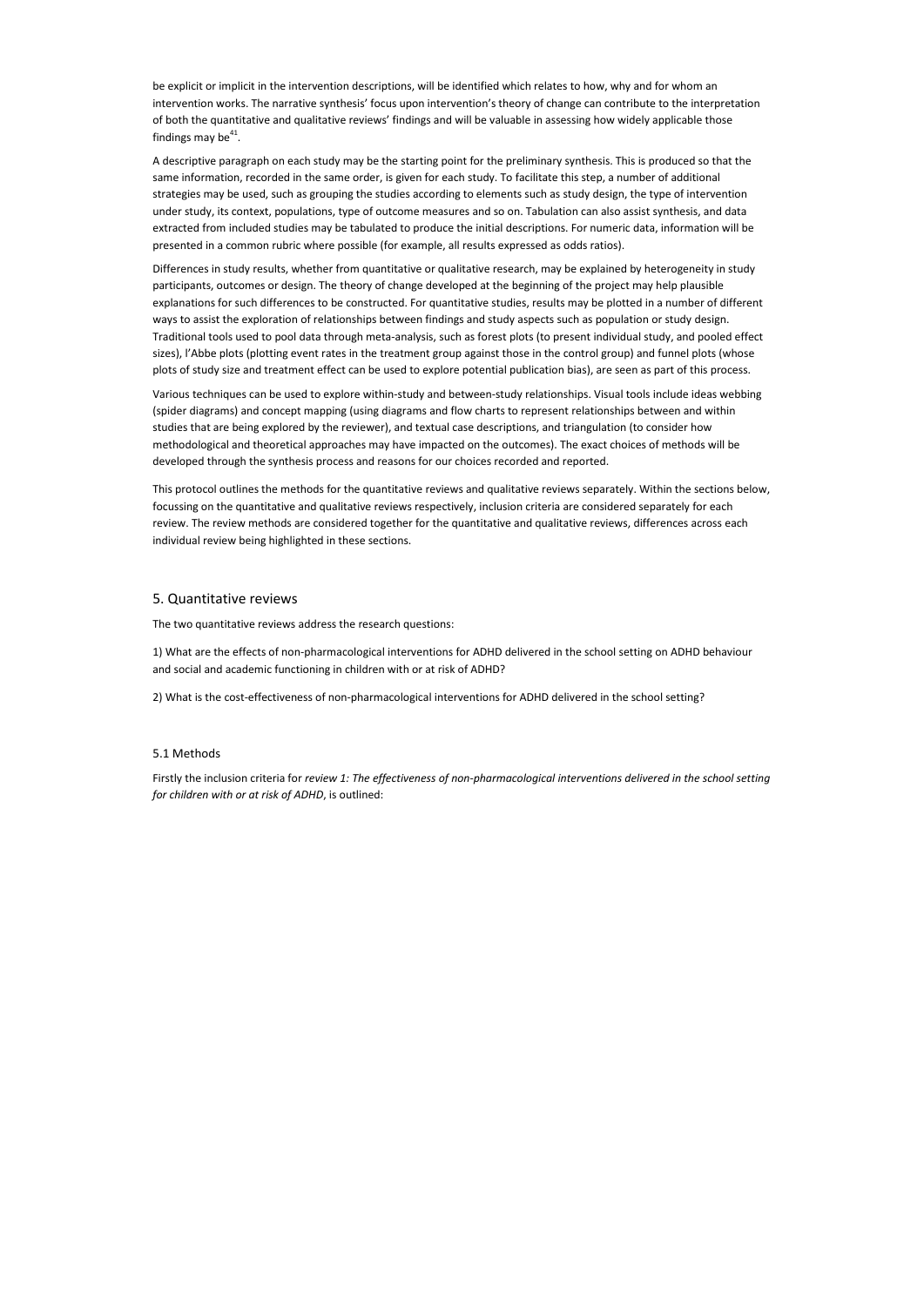be explicit or implicit in the intervention descriptions, will be identified which relates to how, why and for whom an intervention works. The narrative synthesis' focus upon intervention's theory of change can contribute to the interpretation of both the quantitative and qualitative reviews' findings and will be valuable in assessing how widely applicable those findings may be $^{41}$ .

A descriptive paragraph on each study may be the starting point for the preliminary synthesis. This is produced so that the same information, recorded in the same order, is given for each study. To facilitate this step, a number of additional strategies may be used, such as grouping the studies according to elements such as study design, the type of intervention under study, its context, populations, type of outcome measures and so on. Tabulation can also assist synthesis, and data extracted from included studies may be tabulated to produce the initial descriptions. For numeric data, information will be presented in a common rubric where possible (for example, all results expressed as odds ratios).

Differences in study results, whether from quantitative or qualitative research, may be explained by heterogeneity in study participants, outcomes or design. The theory of change developed at the beginning of the project may help plausible explanations for such differences to be constructed. For quantitative studies, results may be plotted in a number of different ways to assist the exploration of relationships between findings and study aspects such as population or study design. Traditional tools used to pool data through meta-analysis, such as forest plots (to present individual study, and pooled effect sizes), l'Abbe plots (plotting event rates in the treatment group against those in the control group) and funnel plots (whose plots of study size and treatment effect can be used to explore potential publication bias), are seen as part of this process.

Various techniques can be used to explore within-study and between-study relationships. Visual tools include ideas webbing (spider diagrams) and concept mapping (using diagrams and flow charts to represent relationships between and within studies that are being explored by the reviewer), and textual case descriptions, and triangulation (to consider how methodological and theoretical approaches may have impacted on the outcomes). The exact choices of methods will be developed through the synthesis process and reasons for our choices recorded and reported.

This protocol outlines the methods for the quantitative reviews and qualitative reviews separately. Within the sections below, focussing on the quantitative and qualitative reviews respectively, inclusion criteria are considered separately for each review. The review methods are considered together for the quantitative and qualitative reviews, differences across each individual review being highlighted in these sections.

## 5. Quantitative reviews

The two quantitative reviews address the research questions:

1) What are the effects of non-pharmacological interventions for ADHD delivered in the school setting on ADHD behaviour and social and academic functioning in children with or at risk of ADHD?

2) What is the cost-effectiveness of non-pharmacological interventions for ADHD delivered in the school setting?

## 5.1 Methods

Firstly the inclusion criteria for *review 1: The effectiveness of non-pharmacological interventions delivered in the school setting for children with or at risk of ADHD*, is outlined: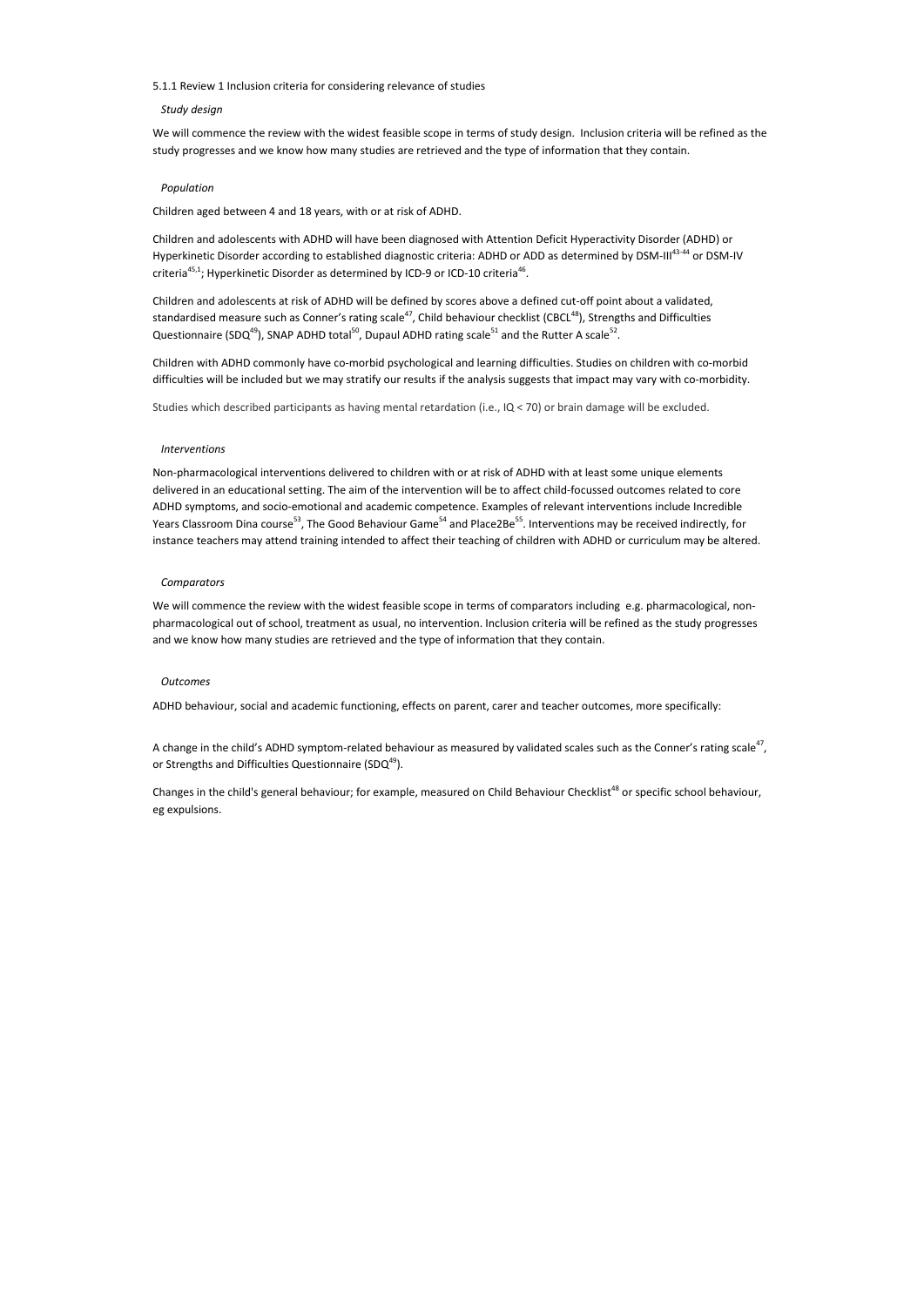5.1.1 Review 1 Inclusion criteria for considering relevance of studies

#### *Study design*

Children and adolescents with ADHD will have been diagnosed with Attention Deficit Hyperactivity Disorder (ADHD) or Hyperkinetic Disorder according to established diagnostic criteria: ADHD or ADD as determined by DSM-III<sup>43-44</sup> or DSM-IV criteria<sup>45,1</sup>; Hyperkinetic Disorder as determined by ICD-9 or ICD-10 criteria<sup>46</sup>.

We will commence the review with the widest feasible scope in terms of study design. Inclusion criteria will be refined as the study progresses and we know how many studies are retrieved and the type of information that they contain.

#### *Population*

Children and adolescents at risk of ADHD will be defined by scores above a defined cut-off point about a validated, standardised measure such as Conner's rating scale<sup>47</sup>, Child behaviour checklist (CBCL<sup>48</sup>), Strengths and Difficulties Questionnaire (SDQ<sup>49</sup>), SNAP ADHD total<sup>50</sup>, Dupaul ADHD rating scale<sup>51</sup> and the Rutter A scale<sup>52</sup>.

Children aged between 4 and 18 years, with or at risk of ADHD.

Children with ADHD commonly have co-morbid psychological and learning difficulties. Studies on children with co-morbid difficulties will be included but we may stratify our results if the analysis suggests that impact may vary with co-morbidity.

Studies which described participants as having mental retardation (i.e., IQ < 70) or brain damage will be excluded.

Changes in the child's general behaviour; for example, measured on Child Behaviour Checklist<sup>48</sup> or specific school behaviour, eg expulsions.

#### *Interventions*

Non-pharmacological interventions delivered to children with or at risk of ADHD with at least some unique elements delivered in an educational setting. The aim of the intervention will be to affect child-focussed outcomes related to core ADHD symptoms, and socio-emotional and academic competence. Examples of relevant interventions include Incredible Years Classroom Dina course<sup>53</sup>, The Good Behaviour Game<sup>54</sup> and Place2Be<sup>55</sup>. Interventions may be received indirectly, for instance teachers may attend training intended to affect their teaching of children with ADHD or curriculum may be altered.

#### *Comparators*

We will commence the review with the widest feasible scope in terms of comparators including e.g. pharmacological, nonpharmacological out of school, treatment as usual, no intervention. Inclusion criteria will be refined as the study progresses and we know how many studies are retrieved and the type of information that they contain.

#### *Outcomes*

ADHD behaviour, social and academic functioning, effects on parent, carer and teacher outcomes, more specifically:

A change in the child's ADHD symptom-related behaviour as measured by validated scales such as the Conner's rating scale<sup>47</sup>, or Strengths and Difficulties Questionnaire (SDQ $49$ ).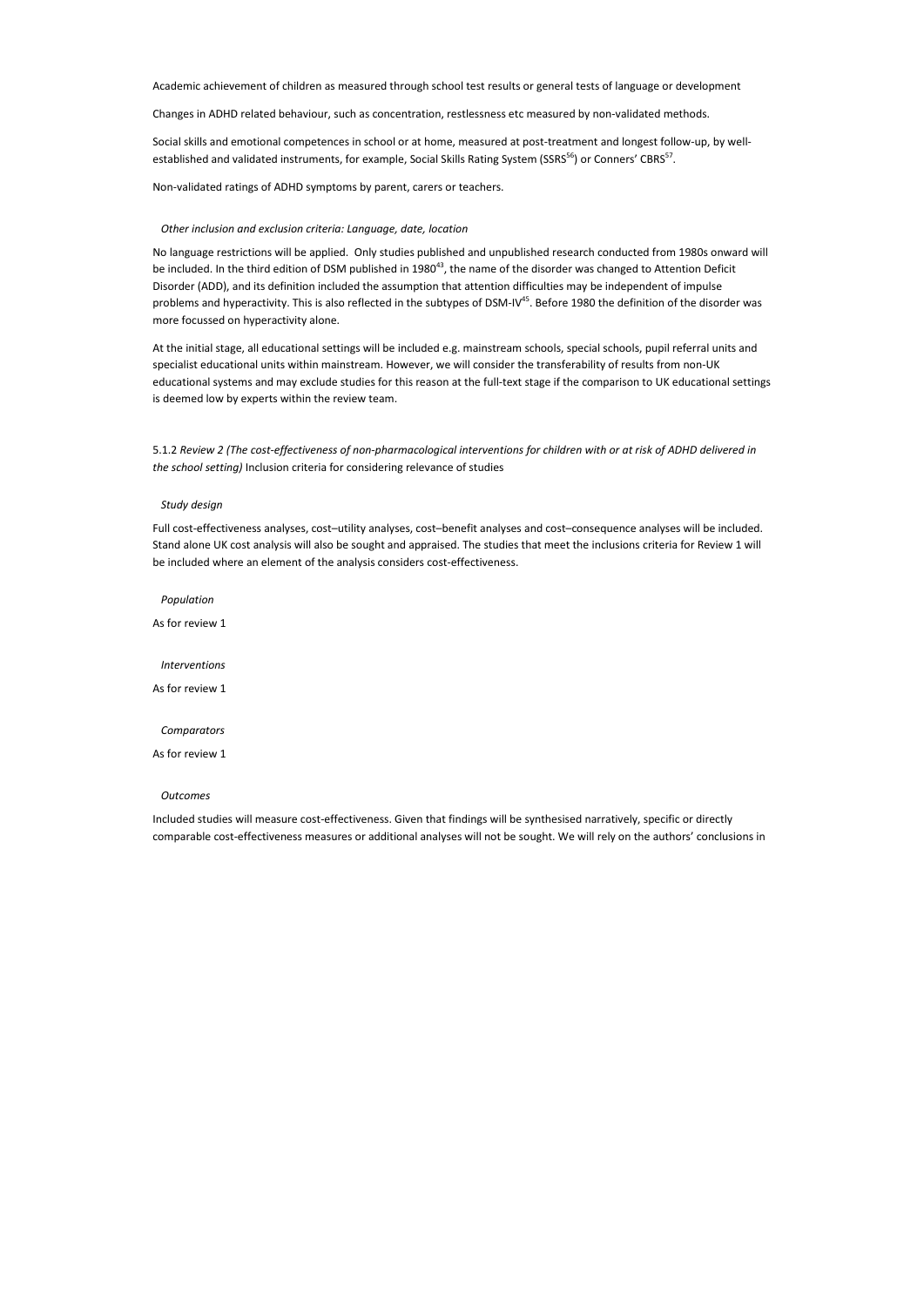Academic achievement of children as measured through school test results or general tests of language or development

Social skills and emotional competences in school or at home, measured at post-treatment and longest follow-up, by wellestablished and validated instruments, for example, Social Skills Rating System (SSRS<sup>56</sup>) or Conners' CBRS<sup>57</sup>.

Changes in ADHD related behaviour, such as concentration, restlessness etc measured by non-validated methods.

Non-validated ratings of ADHD symptoms by parent, carers or teachers.

#### *Other inclusion and exclusion criteria: Language, date, location*

No language restrictions will be applied. Only studies published and unpublished research conducted from 1980s onward will be included. In the third edition of DSM published in 1980<sup>43</sup>, the name of the disorder was changed to Attention Deficit Disorder (ADD), and its definition included the assumption that attention difficulties may be independent of impulse problems and hyperactivity. This is also reflected in the subtypes of DSM-IV<sup>45</sup>. Before 1980 the definition of the disorder was more focussed on hyperactivity alone.

At the initial stage, all educational settings will be included e.g. mainstream schools, special schools, pupil referral units and specialist educational units within mainstream. However, we will consider the transferability of results from non-UK educational systems and may exclude studies for this reason at the full-text stage if the comparison to UK educational settings is deemed low by experts within the review team.

5.1.2 *Review 2 (The cost-effectiveness of non-pharmacological interventions for children with or at risk of ADHD delivered in the school setting)* Inclusion criteria for considering relevance of studies

#### *Study design*

Full cost-effectiveness analyses, cost–utility analyses, cost–benefit analyses and cost–consequence analyses will be included. Stand alone UK cost analysis will also be sought and appraised. The studies that meet the inclusions criteria for Review 1 will be included where an element of the analysis considers cost-effectiveness.

 *Population* 

As for review 1

 *Interventions* 

As for review 1

 *Comparators* 

As for review 1

#### *Outcomes*

Included studies will measure cost-effectiveness. Given that findings will be synthesised narratively, specific or directly comparable cost-effectiveness measures or additional analyses will not be sought. We will rely on the authors' conclusions in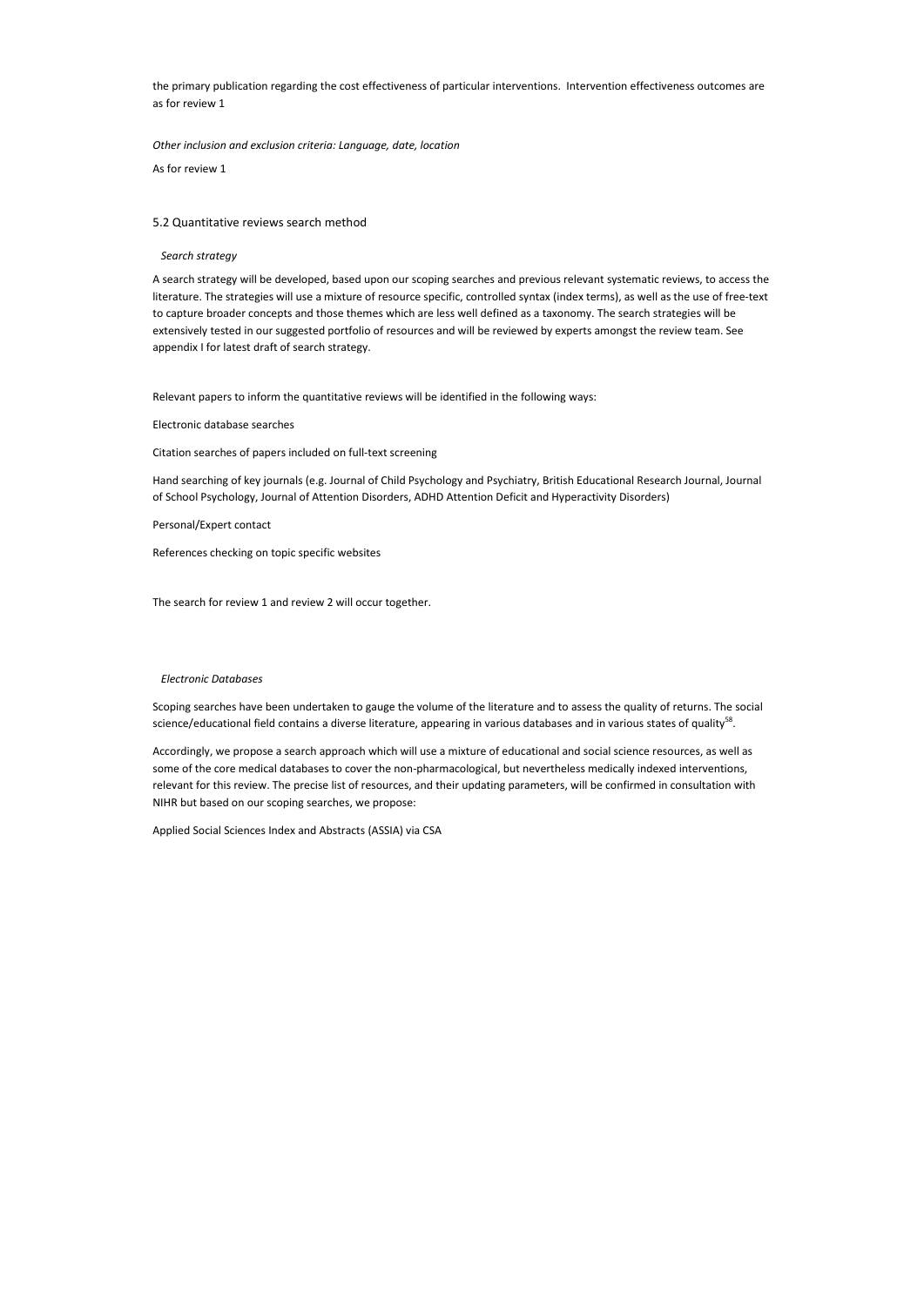the primary publication regarding the cost effectiveness of particular interventions. Intervention effectiveness outcomes are as for review 1

*Other inclusion and exclusion criteria: Language, date, location* 

As for review 1

## 5.2 Quantitative reviews search method

## *Search strategy*

A search strategy will be developed, based upon our scoping searches and previous relevant systematic reviews, to access the literature. The strategies will use a mixture of resource specific, controlled syntax (index terms), as well as the use of free-text to capture broader concepts and those themes which are less well defined as a taxonomy. The search strategies will be extensively tested in our suggested portfolio of resources and will be reviewed by experts amongst the review team. See appendix I for latest draft of search strategy.

Scoping searches have been undertaken to gauge the volume of the literature and to assess the quality of returns. The social science/educational field contains a diverse literature, appearing in various databases and in various states of quality<sup>58</sup>.

Relevant papers to inform the quantitative reviews will be identified in the following ways:

Electronic database searches

Citation searches of papers included on full-text screening

Hand searching of key journals (e.g. Journal of Child Psychology and Psychiatry, British Educational Research Journal, Journal of School Psychology, Journal of Attention Disorders, ADHD Attention Deficit and Hyperactivity Disorders)

Personal/Expert contact

References checking on topic specific websites

The search for review 1 and review 2 will occur together.

## *Electronic Databases*

Accordingly, we propose a search approach which will use a mixture of educational and social science resources, as well as some of the core medical databases to cover the non-pharmacological, but nevertheless medically indexed interventions, relevant for this review. The precise list of resources, and their updating parameters, will be confirmed in consultation with NIHR but based on our scoping searches, we propose:

Applied Social Sciences Index and Abstracts (ASSIA) via CSA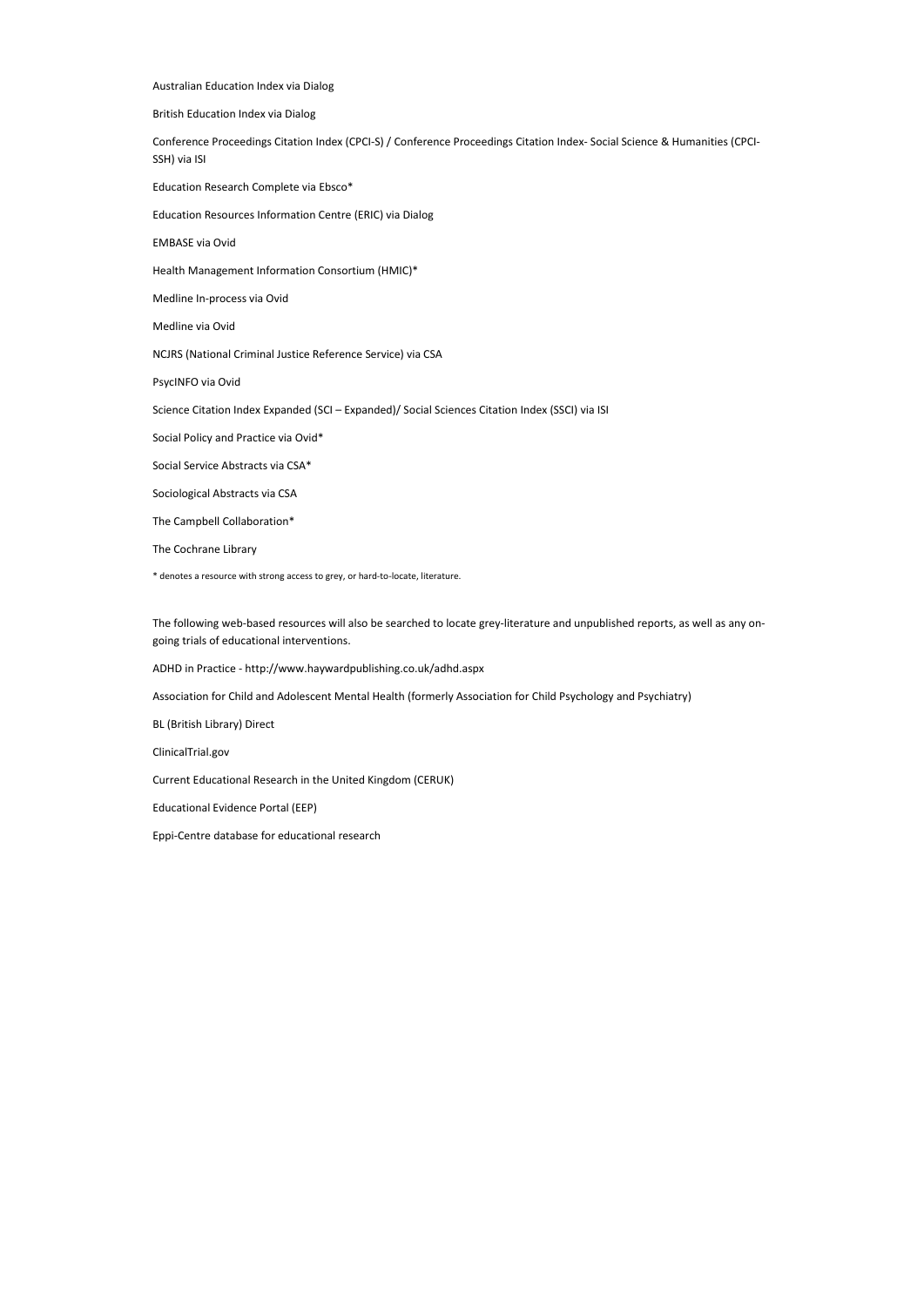Australian Education Index via Dialog British Education Index via Dialog Conference Proceedings Citation Index (CPCI-S) / Conference Proceedings Citation Index- Social Science & Humanities (CPCI-SSH) via ISI Education Research Complete via Ebsco\* Education Resources Information Centre (ERIC) via Dialog EMBASE via Ovid Health Management Information Consortium (HMIC)\* Medline In-process via Ovid Medline via Ovid NCJRS (National Criminal Justice Reference Service) via CSA PsycINFO via Ovid Science Citation Index Expanded (SCI – Expanded)/ Social Sciences Citation Index (SSCI) via ISI Social Policy and Practice via Ovid\* Social Service Abstracts via CSA\* Sociological Abstracts via CSA The Campbell Collaboration\* The Cochrane Library \* denotes a resource with strong access to grey, or hard-to-locate, literature.

The following web-based resources will also be searched to locate grey-literature and unpublished reports, as well as any ongoing trials of educational interventions.

ADHD in Practice - http://www.haywardpublishing.co.uk/adhd.aspx

Association for Child and Adolescent Mental Health (formerly Association for Child Psychology and Psychiatry)

BL (British Library) Direct

ClinicalTrial.gov

Current Educational Research in the United Kingdom (CERUK)

Educational Evidence Portal (EEP)

Eppi-Centre database for educational research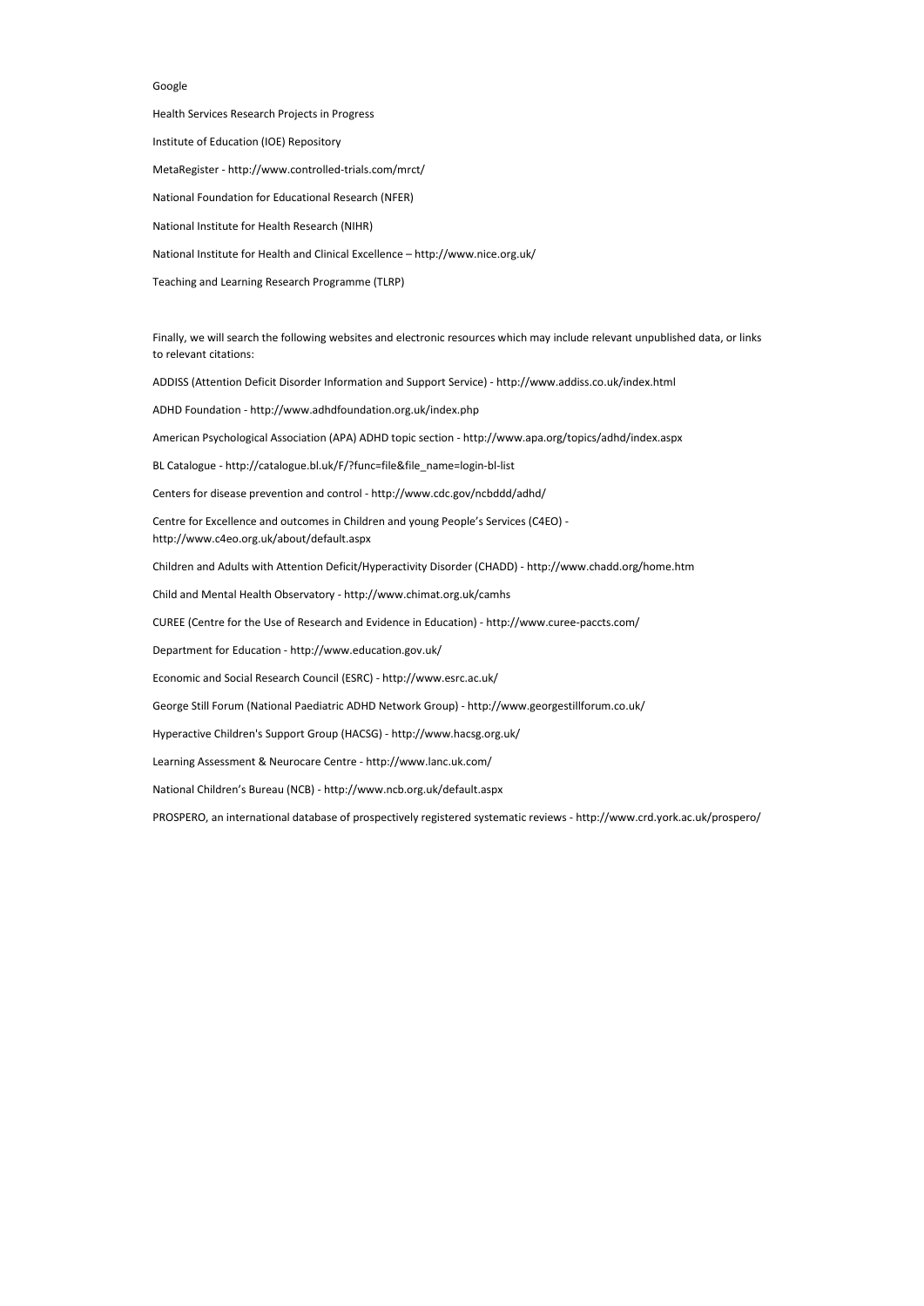## Google

## Health Services Research Projects in Progress Institute of Education (IOE) Repository MetaRegister - http://www.controlled-trials.com/mrct/ National Foundation for Educational Research (NFER) National Institute for Health Research (NIHR) National Institute for Health and Clinical Excellence – http://www.nice.org.uk/ Teaching and Learning Research Programme (TLRP)

Finally, we will search the following websites and electronic resources which may include relevant unpublished data, or links to relevant citations:

ADDISS (Attention Deficit Disorder Information and Support Service) - http://www.addiss.co.uk/index.html

ADHD Foundation - http://www.adhdfoundation.org.uk/index.php

American Psychological Association (APA) ADHD topic section - http://www.apa.org/topics/adhd/index.aspx

BL Catalogue - http://catalogue.bl.uk/F/?func=file&file\_name=login-bl-list

Centers for disease prevention and control - http://www.cdc.gov/ncbddd/adhd/

Centre for Excellence and outcomes in Children and young People's Services (C4EO) http://www.c4eo.org.uk/about/default.aspx

Children and Adults with Attention Deficit/Hyperactivity Disorder (CHADD) - http://www.chadd.org/home.htm

Child and Mental Health Observatory - http://www.chimat.org.uk/camhs

CUREE (Centre for the Use of Research and Evidence in Education) - http://www.curee-paccts.com/

Department for Education - http://www.education.gov.uk/

Economic and Social Research Council (ESRC) - http://www.esrc.ac.uk/

George Still Forum (National Paediatric ADHD Network Group) - http://www.georgestillforum.co.uk/

Hyperactive Children's Support Group (HACSG) - http://www.hacsg.org.uk/

Learning Assessment & Neurocare Centre - http://www.lanc.uk.com/

National Children's Bureau (NCB) - http://www.ncb.org.uk/default.aspx

PROSPERO, an international database of prospectively registered systematic reviews - http://www.crd.york.ac.uk/prospero/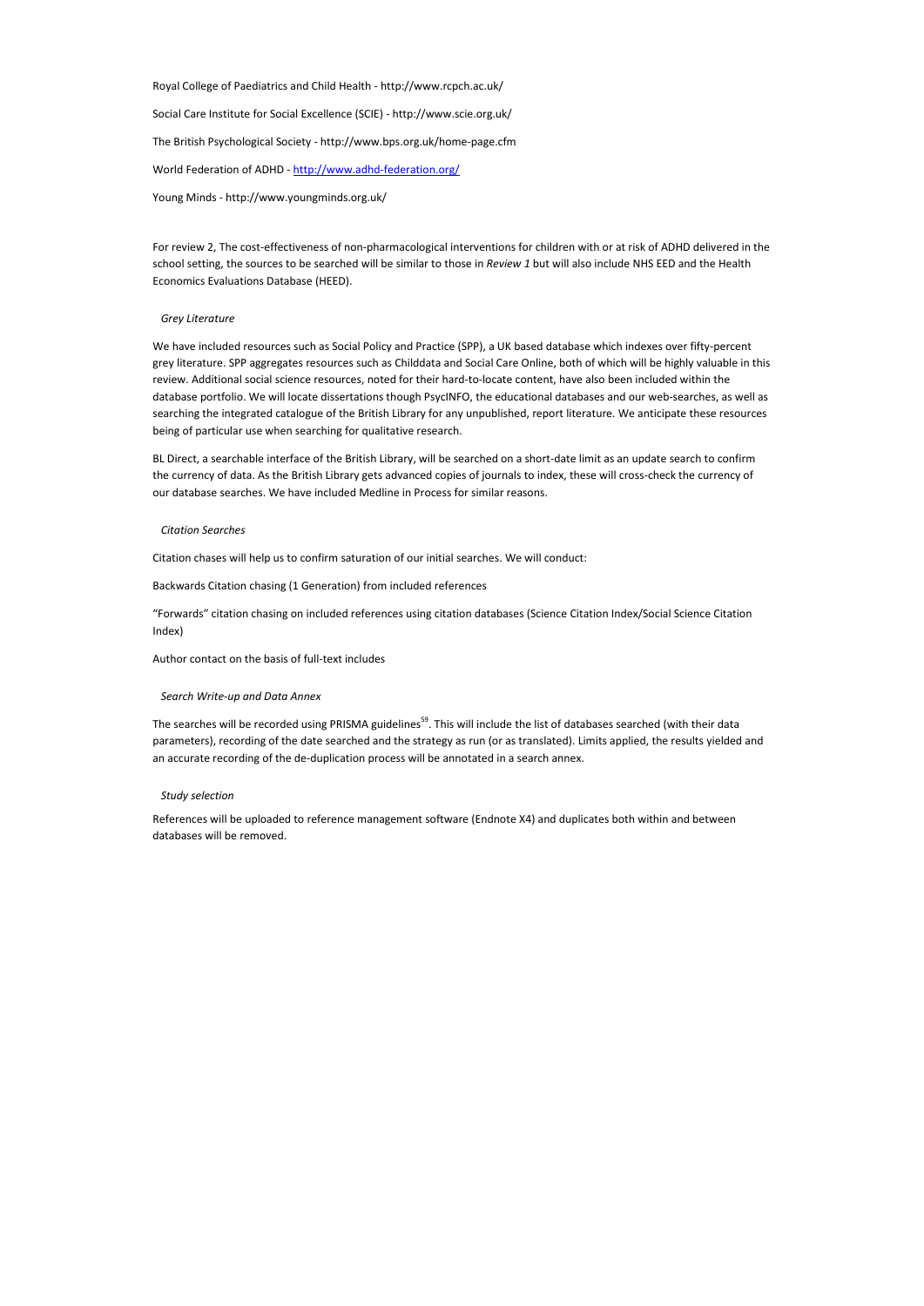Royal College of Paediatrics and Child Health - http://www.rcpch.ac.uk/ Social Care Institute for Social Excellence (SCIE) - http://www.scie.org.uk/ The British Psychological Society - http://www.bps.org.uk/home-page.cfm World Federation of ADHD - http://www.adhd-federation.org/ Young Minds - http://www.youngminds.org.uk/

For review 2, The cost-effectiveness of non-pharmacological interventions for children with or at risk of ADHD delivered in the school setting, the sources to be searched will be similar to those in *Review 1* but will also include NHS EED and the Health Economics Evaluations Database (HEED).

## *Grey Literature*

We have included resources such as Social Policy and Practice (SPP), a UK based database which indexes over fifty-percent grey literature. SPP aggregates resources such as Childdata and Social Care Online, both of which will be highly valuable in this review. Additional social science resources, noted for their hard-to-locate content, have also been included within the database portfolio. We will locate dissertations though PsycINFO, the educational databases and our web-searches, as well as searching the integrated catalogue of the British Library for any unpublished, report literature. We anticipate these resources being of particular use when searching for qualitative research.

The searches will be recorded using PRISMA guidelines<sup>59</sup>. This will include the list of databases searched (with their data parameters), recording of the date searched and the strategy as run (or as translated). Limits applied, the results yielded and an accurate recording of the de-duplication process will be annotated in a search annex.

BL Direct, a searchable interface of the British Library, will be searched on a short-date limit as an update search to confirm the currency of data. As the British Library gets advanced copies of journals to index, these will cross-check the currency of our database searches. We have included Medline in Process for similar reasons.

#### *Citation Searches*

Citation chases will help us to confirm saturation of our initial searches. We will conduct:

Backwards Citation chasing (1 Generation) from included references

"Forwards" citation chasing on included references using citation databases (Science Citation Index/Social Science Citation Index)

Author contact on the basis of full-text includes

## *Search Write-up and Data Annex*

## *Study selection*

References will be uploaded to reference management software (Endnote X4) and duplicates both within and between databases will be removed.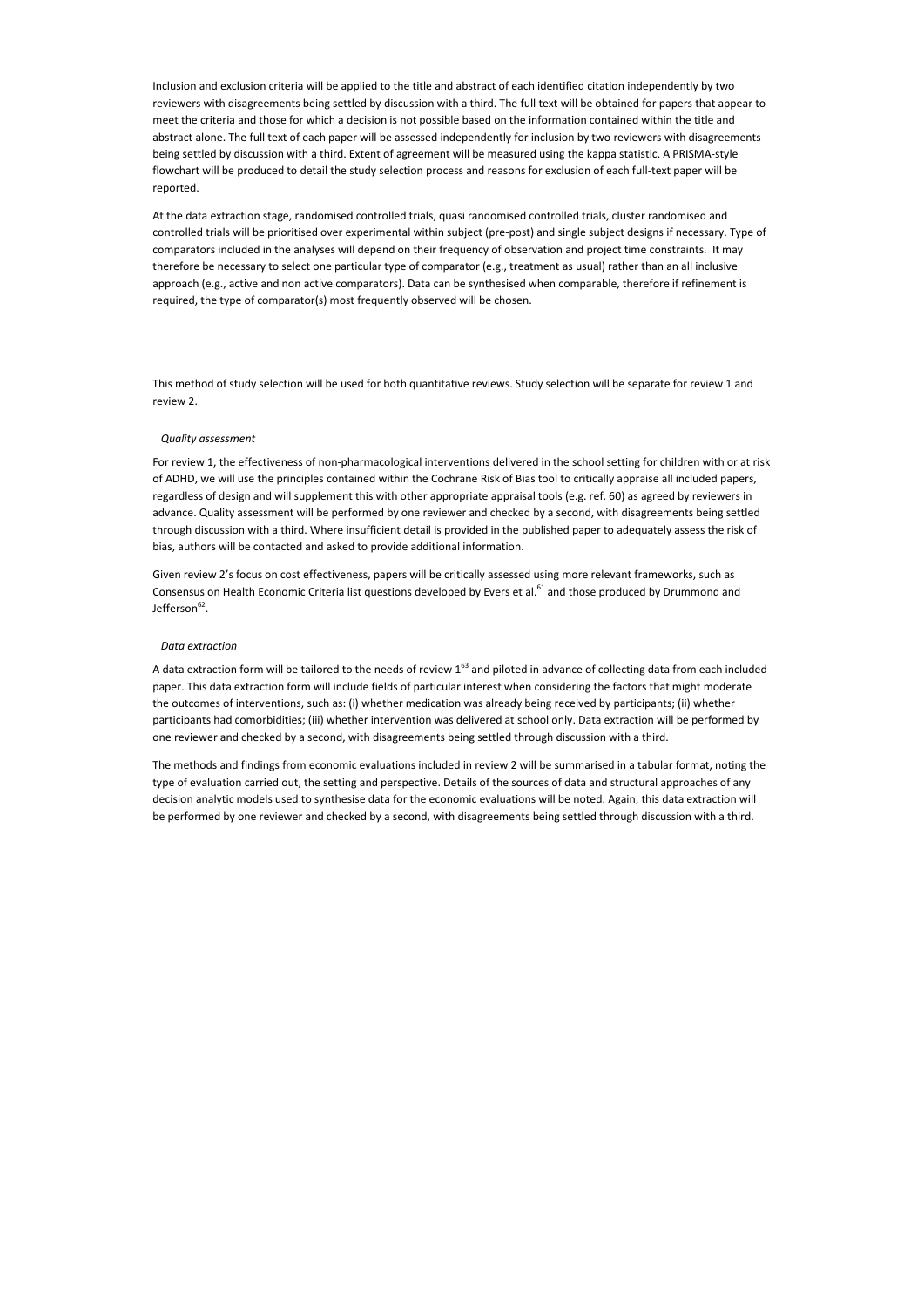Inclusion and exclusion criteria will be applied to the title and abstract of each identified citation independently by two reviewers with disagreements being settled by discussion with a third. The full text will be obtained for papers that appear to meet the criteria and those for which a decision is not possible based on the information contained within the title and abstract alone. The full text of each paper will be assessed independently for inclusion by two reviewers with disagreements being settled by discussion with a third. Extent of agreement will be measured using the kappa statistic. A PRISMA-style flowchart will be produced to detail the study selection process and reasons for exclusion of each full-text paper will be reported.

At the data extraction stage, randomised controlled trials, quasi randomised controlled trials, cluster randomised and controlled trials will be prioritised over experimental within subject (pre-post) and single subject designs if necessary. Type of comparators included in the analyses will depend on their frequency of observation and project time constraints. It may therefore be necessary to select one particular type of comparator (e.g., treatment as usual) rather than an all inclusive approach (e.g., active and non active comparators). Data can be synthesised when comparable, therefore if refinement is required, the type of comparator(s) most frequently observed will be chosen.

Given review 2's focus on cost effectiveness, papers will be critically assessed using more relevant frameworks, such as Consensus on Health Economic Criteria list questions developed by Evers et al.<sup>61</sup> and those produced by Drummond and Jefferson<sup>62</sup>.

This method of study selection will be used for both quantitative reviews. Study selection will be separate for review 1 and review 2.

#### *Quality assessment*

A data extraction form will be tailored to the needs of review  $1^{63}$  and piloted in advance of collecting data from each included paper. This data extraction form will include fields of particular interest when considering the factors that might moderate the outcomes of interventions, such as: (i) whether medication was already being received by participants; (ii) whether participants had comorbidities; (iii) whether intervention was delivered at school only. Data extraction will be performed by one reviewer and checked by a second, with disagreements being settled through discussion with a third.

For review 1, the effectiveness of non-pharmacological interventions delivered in the school setting for children with or at risk of ADHD, we will use the principles contained within the Cochrane Risk of Bias tool to critically appraise all included papers, regardless of design and will supplement this with other appropriate appraisal tools (e.g. ref. 60) as agreed by reviewers in advance. Quality assessment will be performed by one reviewer and checked by a second, with disagreements being settled through discussion with a third. Where insufficient detail is provided in the published paper to adequately assess the risk of bias, authors will be contacted and asked to provide additional information.

#### *Data extraction*

The methods and findings from economic evaluations included in review 2 will be summarised in a tabular format, noting the type of evaluation carried out, the setting and perspective. Details of the sources of data and structural approaches of any decision analytic models used to synthesise data for the economic evaluations will be noted. Again, this data extraction will be performed by one reviewer and checked by a second, with disagreements being settled through discussion with a third.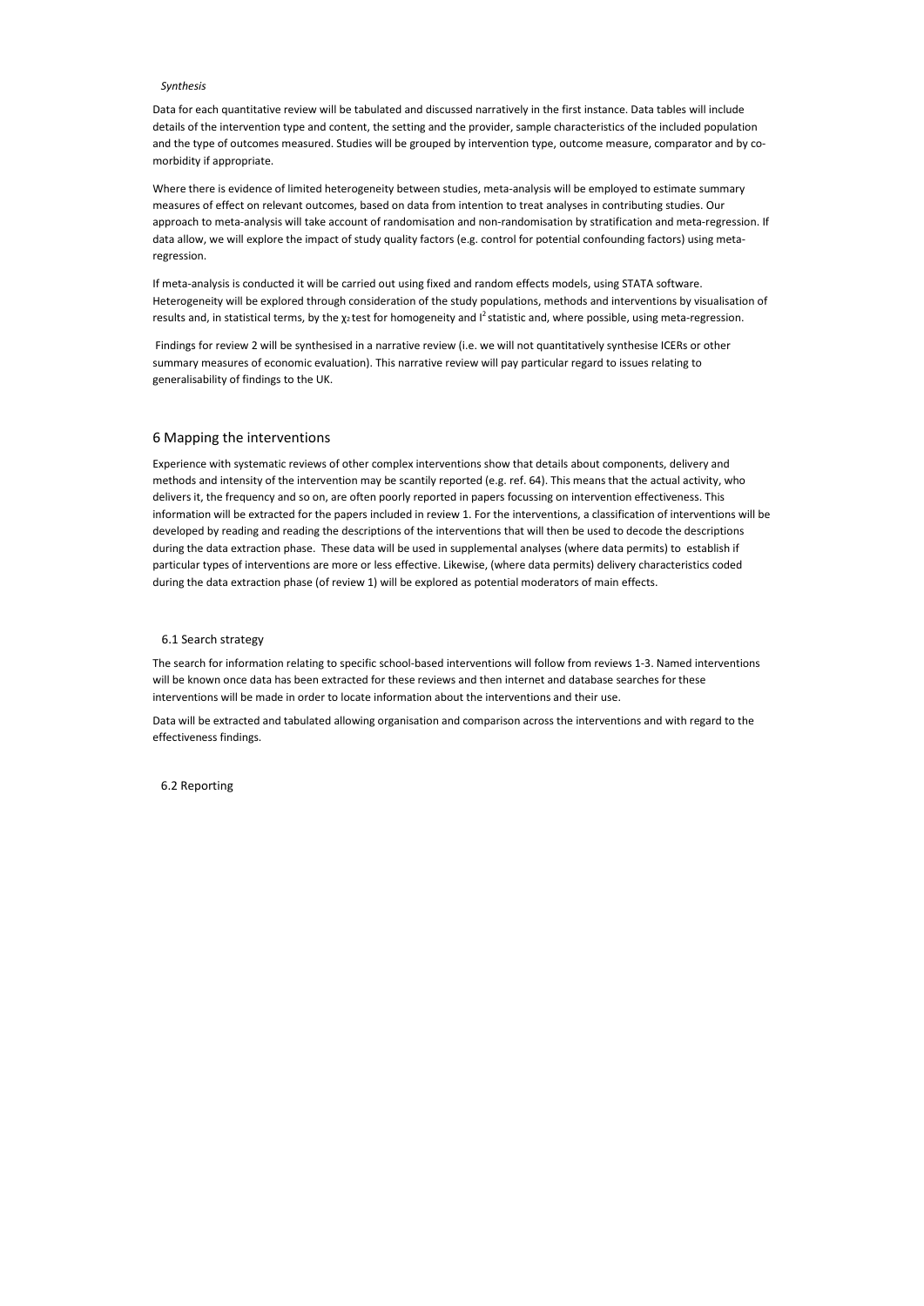#### *Synthesis*

Data for each quantitative review will be tabulated and discussed narratively in the first instance. Data tables will include details of the intervention type and content, the setting and the provider, sample characteristics of the included population and the type of outcomes measured. Studies will be grouped by intervention type, outcome measure, comparator and by comorbidity if appropriate.

If meta-analysis is conducted it will be carried out using fixed and random effects models, using STATA software. Heterogeneity will be explored through consideration of the study populations, methods and interventions by visualisation of results and, in statistical terms, by the  $\chi_2$ test for homogeneity and I<sup>2</sup> statistic and, where possible, using meta-regression.

Where there is evidence of limited heterogeneity between studies, meta-analysis will be employed to estimate summary measures of effect on relevant outcomes, based on data from intention to treat analyses in contributing studies. Our approach to meta-analysis will take account of randomisation and non-randomisation by stratification and meta-regression. If data allow, we will explore the impact of study quality factors (e.g. control for potential confounding factors) using metaregression.

 Findings for review 2 will be synthesised in a narrative review (i.e. we will not quantitatively synthesise ICERs or other summary measures of economic evaluation). This narrative review will pay particular regard to issues relating to generalisability of findings to the UK.

## 6 Mapping the interventions

Experience with systematic reviews of other complex interventions show that details about components, delivery and methods and intensity of the intervention may be scantily reported (e.g. ref. 64). This means that the actual activity, who delivers it, the frequency and so on, are often poorly reported in papers focussing on intervention effectiveness. This information will be extracted for the papers included in review 1. For the interventions, a classification of interventions will be developed by reading and reading the descriptions of the interventions that will then be used to decode the descriptions during the data extraction phase. These data will be used in supplemental analyses (where data permits) to establish if particular types of interventions are more or less effective. Likewise, (where data permits) delivery characteristics coded during the data extraction phase (of review 1) will be explored as potential moderators of main effects.

## 6.1 Search strategy

The search for information relating to specific school-based interventions will follow from reviews 1-3. Named interventions will be known once data has been extracted for these reviews and then internet and database searches for these interventions will be made in order to locate information about the interventions and their use.

Data will be extracted and tabulated allowing organisation and comparison across the interventions and with regard to the effectiveness findings.

6.2 Reporting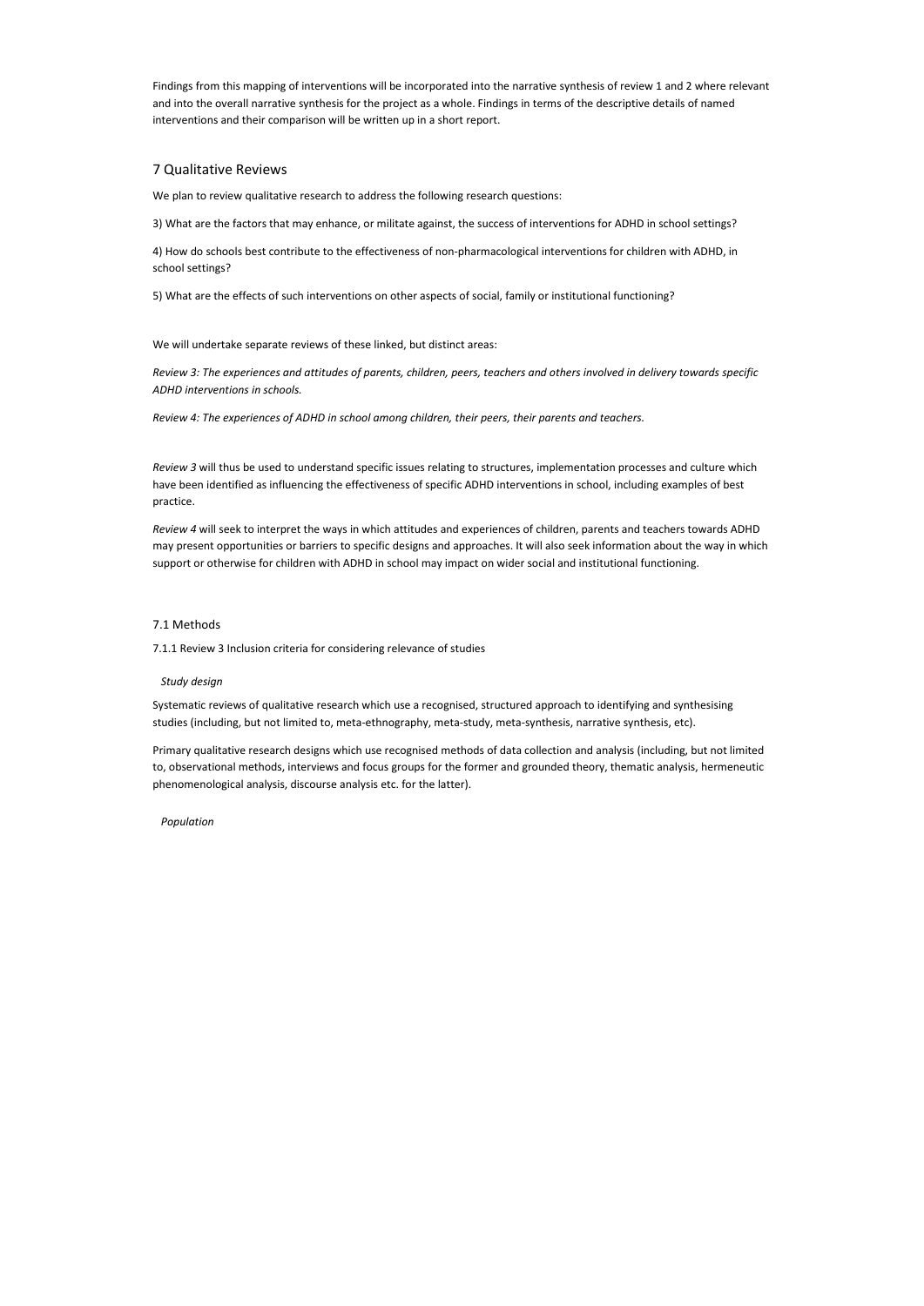Findings from this mapping of interventions will be incorporated into the narrative synthesis of review 1 and 2 where relevant and into the overall narrative synthesis for the project as a whole. Findings in terms of the descriptive details of named interventions and their comparison will be written up in a short report.

## 7 Qualitative Reviews

We plan to review qualitative research to address the following research questions:

3) What are the factors that may enhance, or militate against, the success of interventions for ADHD in school settings?

4) How do schools best contribute to the effectiveness of non-pharmacological interventions for children with ADHD, in school settings?

5) What are the effects of such interventions on other aspects of social, family or institutional functioning?

We will undertake separate reviews of these linked, but distinct areas:

*Review 3: The experiences and attitudes of parents, children, peers, teachers and others involved in delivery towards specific ADHD interventions in schools.* 

*Review 4: The experiences of ADHD in school among children, their peers, their parents and teachers.* 

*Review 3* will thus be used to understand specific issues relating to structures, implementation processes and culture which have been identified as influencing the effectiveness of specific ADHD interventions in school, including examples of best practice.

*Review 4* will seek to interpret the ways in which attitudes and experiences of children, parents and teachers towards ADHD may present opportunities or barriers to specific designs and approaches. It will also seek information about the way in which support or otherwise for children with ADHD in school may impact on wider social and institutional functioning.

## 7.1 Methods

7.1.1 Review 3 Inclusion criteria for considering relevance of studies

## *Study design*

Systematic reviews of qualitative research which use a recognised, structured approach to identifying and synthesising studies (including, but not limited to, meta-ethnography, meta-study, meta-synthesis, narrative synthesis, etc).

Primary qualitative research designs which use recognised methods of data collection and analysis (including, but not limited to, observational methods, interviews and focus groups for the former and grounded theory, thematic analysis, hermeneutic phenomenological analysis, discourse analysis etc. for the latter).

## *Population*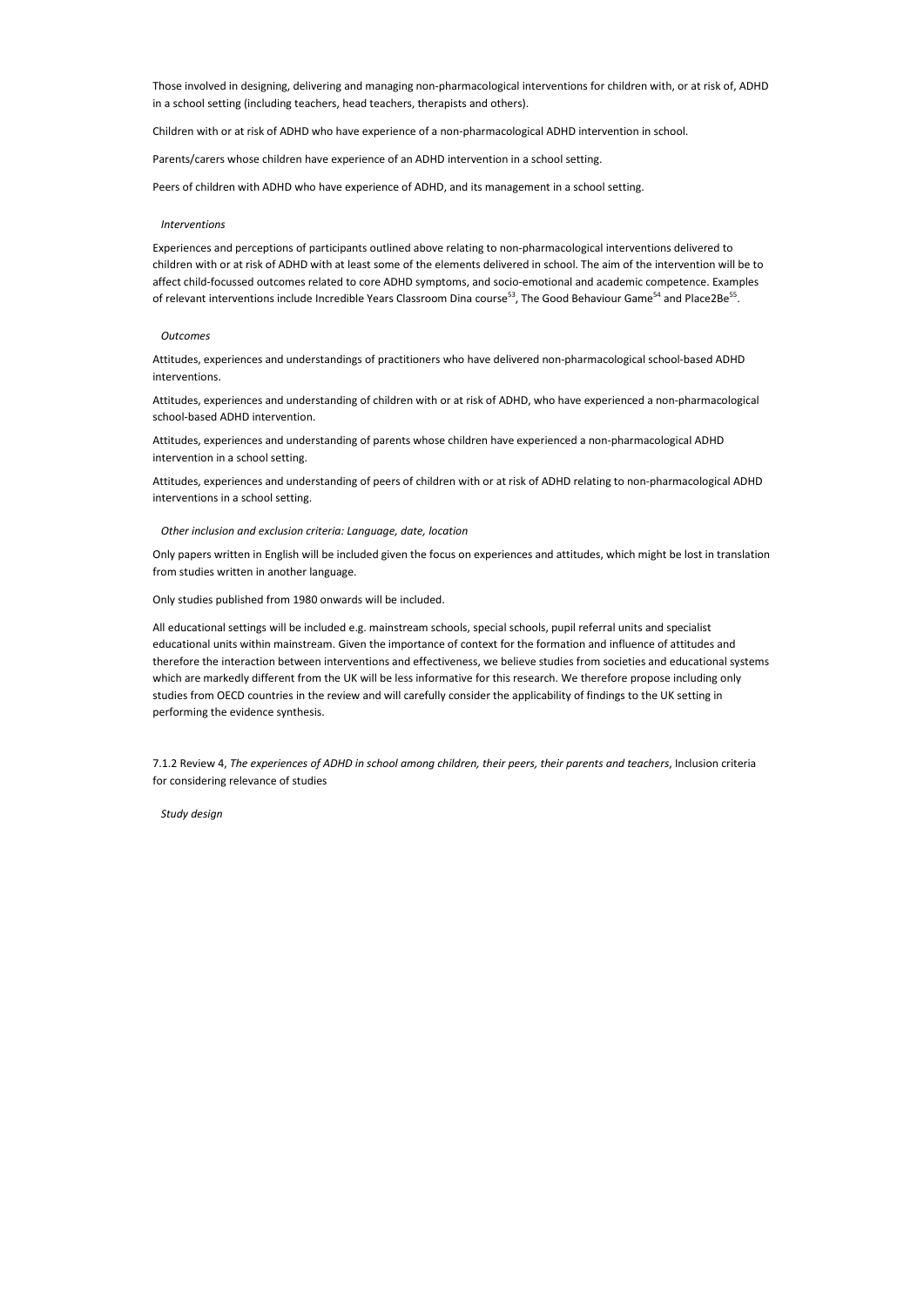Those involved in designing, delivering and managing non-pharmacological interventions for children with, or at risk of, ADHD in a school setting (including teachers, head teachers, therapists and others).

Children with or at risk of ADHD who have experience of a non-pharmacological ADHD intervention in school.

Experiences and perceptions of participants outlined above relating to non-pharmacological interventions delivered to children with or at risk of ADHD with at least some of the elements delivered in school. The aim of the intervention will be to affect child-focussed outcomes related to core ADHD symptoms, and socio-emotional and academic competence. Examples of relevant interventions include Incredible Years Classroom Dina course<sup>53</sup>, The Good Behaviour Game<sup>54</sup> and Place2Be<sup>55</sup>.

Parents/carers whose children have experience of an ADHD intervention in a school setting.

Peers of children with ADHD who have experience of ADHD, and its management in a school setting.

#### *Interventions*

#### *Outcomes*

Attitudes, experiences and understandings of practitioners who have delivered non-pharmacological school-based ADHD interventions.

Attitudes, experiences and understanding of children with or at risk of ADHD, who have experienced a non-pharmacological school-based ADHD intervention.

Attitudes, experiences and understanding of parents whose children have experienced a non-pharmacological ADHD intervention in a school setting.

Attitudes, experiences and understanding of peers of children with or at risk of ADHD relating to non-pharmacological ADHD interventions in a school setting.

#### *Other inclusion and exclusion criteria: Language, date, location*

Only papers written in English will be included given the focus on experiences and attitudes, which might be lost in translation from studies written in another language.

Only studies published from 1980 onwards will be included.

All educational settings will be included e.g. mainstream schools, special schools, pupil referral units and specialist educational units within mainstream. Given the importance of context for the formation and influence of attitudes and therefore the interaction between interventions and effectiveness, we believe studies from societies and educational systems which are markedly different from the UK will be less informative for this research. We therefore propose including only studies from OECD countries in the review and will carefully consider the applicability of findings to the UK setting in performing the evidence synthesis.

7.1.2 Review 4, *The experiences of ADHD in school among children, their peers, their parents and teachers*, Inclusion criteria for considering relevance of studies

*Study design*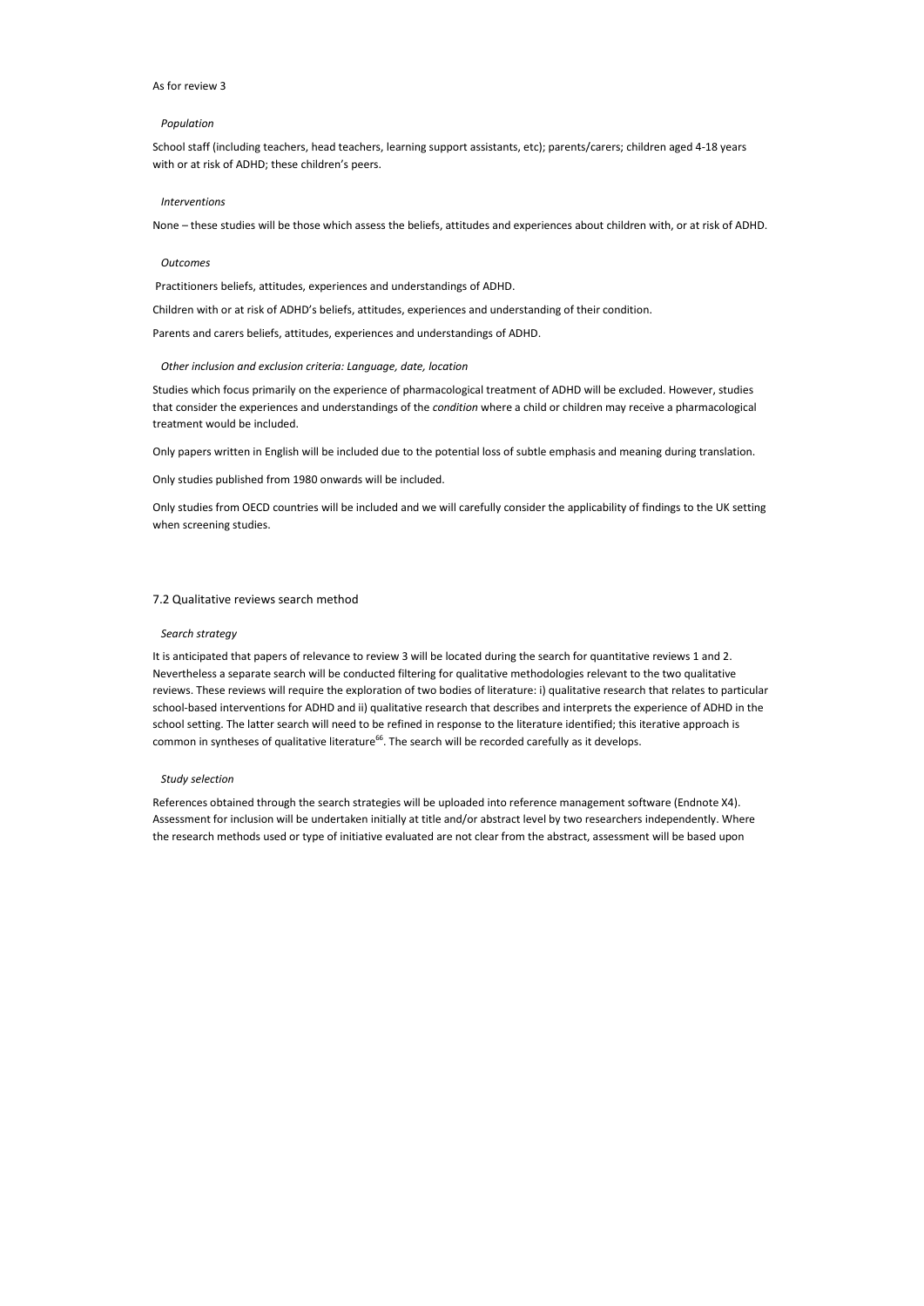#### As for review 3

#### *Population*

School staff (including teachers, head teachers, learning support assistants, etc); parents/carers; children aged 4-18 years with or at risk of ADHD; these children's peers.

#### *Interventions*

None – these studies will be those which assess the beliefs, attitudes and experiences about children with, or at risk of ADHD.

#### *Outcomes*

Practitioners beliefs, attitudes, experiences and understandings of ADHD.

Children with or at risk of ADHD's beliefs, attitudes, experiences and understanding of their condition.

Parents and carers beliefs, attitudes, experiences and understandings of ADHD.

#### *Other inclusion and exclusion criteria: Language, date, location*

It is anticipated that papers of relevance to review 3 will be located during the search for quantitative reviews 1 and 2. Nevertheless a separate search will be conducted filtering for qualitative methodologies relevant to the two qualitative reviews. These reviews will require the exploration of two bodies of literature: i) qualitative research that relates to particular school-based interventions for ADHD and ii) qualitative research that describes and interprets the experience of ADHD in the school setting. The latter search will need to be refined in response to the literature identified; this iterative approach is common in syntheses of qualitative literature<sup>66</sup>. The search will be recorded carefully as it develops.

Studies which focus primarily on the experience of pharmacological treatment of ADHD will be excluded. However, studies that consider the experiences and understandings of the *condition* where a child or children may receive a pharmacological treatment would be included.

Only papers written in English will be included due to the potential loss of subtle emphasis and meaning during translation.

Only studies published from 1980 onwards will be included.

Only studies from OECD countries will be included and we will carefully consider the applicability of findings to the UK setting when screening studies.

#### 7.2 Qualitative reviews search method

#### *Search strategy*

#### *Study selection*

References obtained through the search strategies will be uploaded into reference management software (Endnote X4). Assessment for inclusion will be undertaken initially at title and/or abstract level by two researchers independently. Where the research methods used or type of initiative evaluated are not clear from the abstract, assessment will be based upon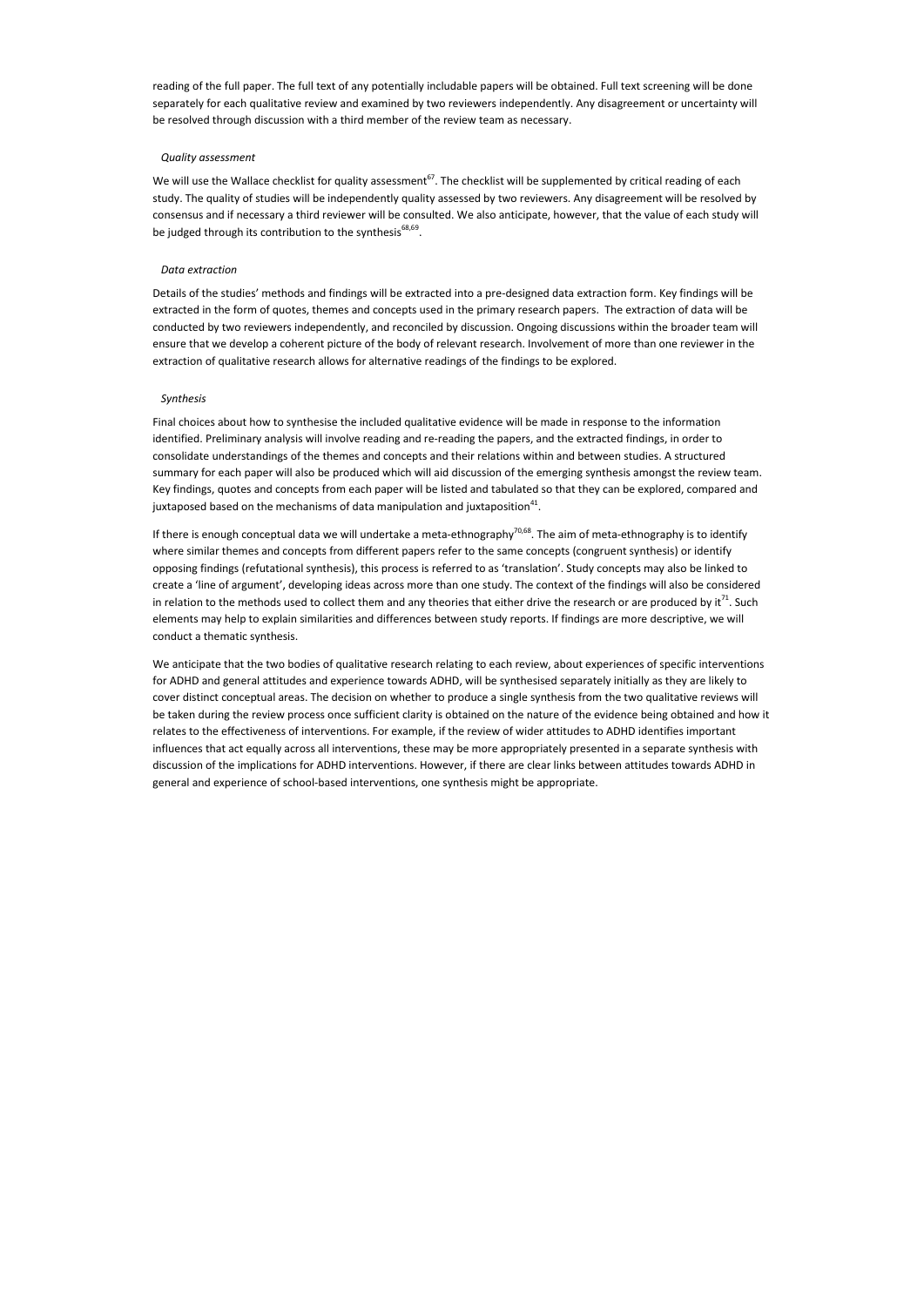reading of the full paper. The full text of any potentially includable papers will be obtained. Full text screening will be done separately for each qualitative review and examined by two reviewers independently. Any disagreement or uncertainty will be resolved through discussion with a third member of the review team as necessary.

#### *Quality assessment*

We will use the Wallace checklist for quality assessment<sup>67</sup>. The checklist will be supplemented by critical reading of each study. The quality of studies will be independently quality assessed by two reviewers. Any disagreement will be resolved by consensus and if necessary a third reviewer will be consulted. We also anticipate, however, that the value of each study will be judged through its contribution to the synthesis<sup>68,69</sup>.

Final choices about how to synthesise the included qualitative evidence will be made in response to the information identified. Preliminary analysis will involve reading and re-reading the papers, and the extracted findings, in order to consolidate understandings of the themes and concepts and their relations within and between studies. A structured summary for each paper will also be produced which will aid discussion of the emerging synthesis amongst the review team. Key findings, quotes and concepts from each paper will be listed and tabulated so that they can be explored, compared and juxtaposed based on the mechanisms of data manipulation and juxtaposition $^{41}$ .

#### *Data extraction*

Details of the studies' methods and findings will be extracted into a pre-designed data extraction form. Key findings will be extracted in the form of quotes, themes and concepts used in the primary research papers. The extraction of data will be conducted by two reviewers independently, and reconciled by discussion. Ongoing discussions within the broader team will ensure that we develop a coherent picture of the body of relevant research. Involvement of more than one reviewer in the extraction of qualitative research allows for alternative readings of the findings to be explored.

#### *Synthesis*

If there is enough conceptual data we will undertake a meta-ethnography $70,68$ . The aim of meta-ethnography is to identify where similar themes and concepts from different papers refer to the same concepts (congruent synthesis) or identify opposing findings (refutational synthesis), this process is referred to as 'translation'. Study concepts may also be linked to create a 'line of argument', developing ideas across more than one study. The context of the findings will also be considered in relation to the methods used to collect them and any theories that either drive the research or are produced by  $it^{71}$ . Such elements may help to explain similarities and differences between study reports. If findings are more descriptive, we will conduct a thematic synthesis.

We anticipate that the two bodies of qualitative research relating to each review, about experiences of specific interventions for ADHD and general attitudes and experience towards ADHD, will be synthesised separately initially as they are likely to cover distinct conceptual areas. The decision on whether to produce a single synthesis from the two qualitative reviews will be taken during the review process once sufficient clarity is obtained on the nature of the evidence being obtained and how it relates to the effectiveness of interventions. For example, if the review of wider attitudes to ADHD identifies important influences that act equally across all interventions, these may be more appropriately presented in a separate synthesis with discussion of the implications for ADHD interventions. However, if there are clear links between attitudes towards ADHD in general and experience of school-based interventions, one synthesis might be appropriate.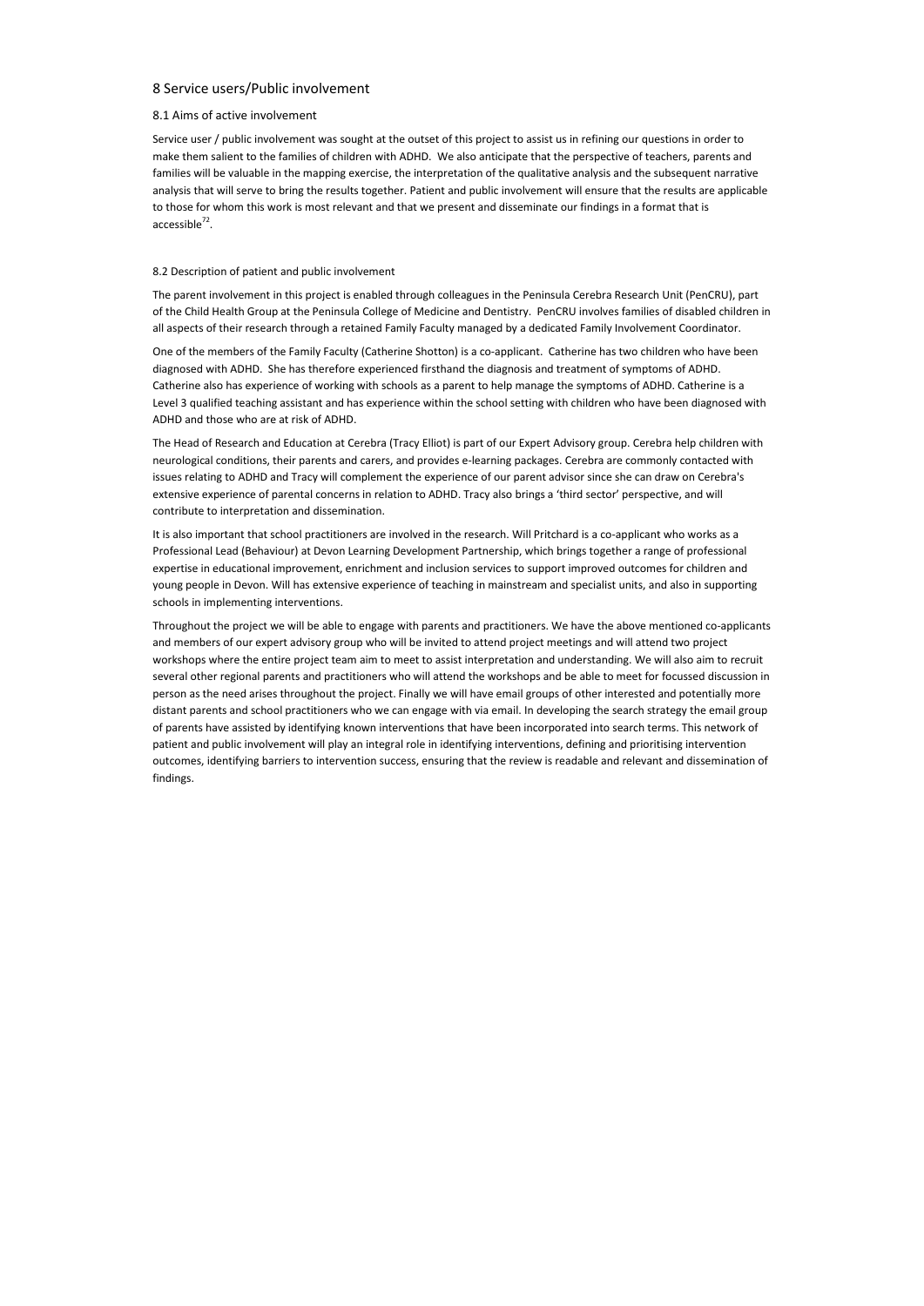## 8 Service users/Public involvement

Service user / public involvement was sought at the outset of this project to assist us in refining our questions in order to make them salient to the families of children with ADHD. We also anticipate that the perspective of teachers, parents and families will be valuable in the mapping exercise, the interpretation of the qualitative analysis and the subsequent narrative analysis that will serve to bring the results together. Patient and public involvement will ensure that the results are applicable to those for whom this work is most relevant and that we present and disseminate our findings in a format that is accessible<sup>72</sup>.

## 8.1 Aims of active involvement

## 8.2 Description of patient and public involvement

The parent involvement in this project is enabled through colleagues in the Peninsula Cerebra Research Unit (PenCRU), part of the Child Health Group at the Peninsula College of Medicine and Dentistry. PenCRU involves families of disabled children in all aspects of their research through a retained Family Faculty managed by a dedicated Family Involvement Coordinator.

One of the members of the Family Faculty (Catherine Shotton) is a co-applicant. Catherine has two children who have been diagnosed with ADHD. She has therefore experienced firsthand the diagnosis and treatment of symptoms of ADHD. Catherine also has experience of working with schools as a parent to help manage the symptoms of ADHD. Catherine is a Level 3 qualified teaching assistant and has experience within the school setting with children who have been diagnosed with ADHD and those who are at risk of ADHD.

The Head of Research and Education at Cerebra (Tracy Elliot) is part of our Expert Advisory group. Cerebra help children with neurological conditions, their parents and carers, and provides e-learning packages. Cerebra are commonly contacted with issues relating to ADHD and Tracy will complement the experience of our parent advisor since she can draw on Cerebra's extensive experience of parental concerns in relation to ADHD. Tracy also brings a 'third sector' perspective, and will contribute to interpretation and dissemination.

It is also important that school practitioners are involved in the research. Will Pritchard is a co-applicant who works as a Professional Lead (Behaviour) at Devon Learning Development Partnership, which brings together a range of professional expertise in educational improvement, enrichment and inclusion services to support improved outcomes for children and young people in Devon. Will has extensive experience of teaching in mainstream and specialist units, and also in supporting schools in implementing interventions.

Throughout the project we will be able to engage with parents and practitioners. We have the above mentioned co-applicants and members of our expert advisory group who will be invited to attend project meetings and will attend two project workshops where the entire project team aim to meet to assist interpretation and understanding. We will also aim to recruit several other regional parents and practitioners who will attend the workshops and be able to meet for focussed discussion in person as the need arises throughout the project. Finally we will have email groups of other interested and potentially more distant parents and school practitioners who we can engage with via email. In developing the search strategy the email group of parents have assisted by identifying known interventions that have been incorporated into search terms. This network of patient and public involvement will play an integral role in identifying interventions, defining and prioritising intervention outcomes, identifying barriers to intervention success, ensuring that the review is readable and relevant and dissemination of findings.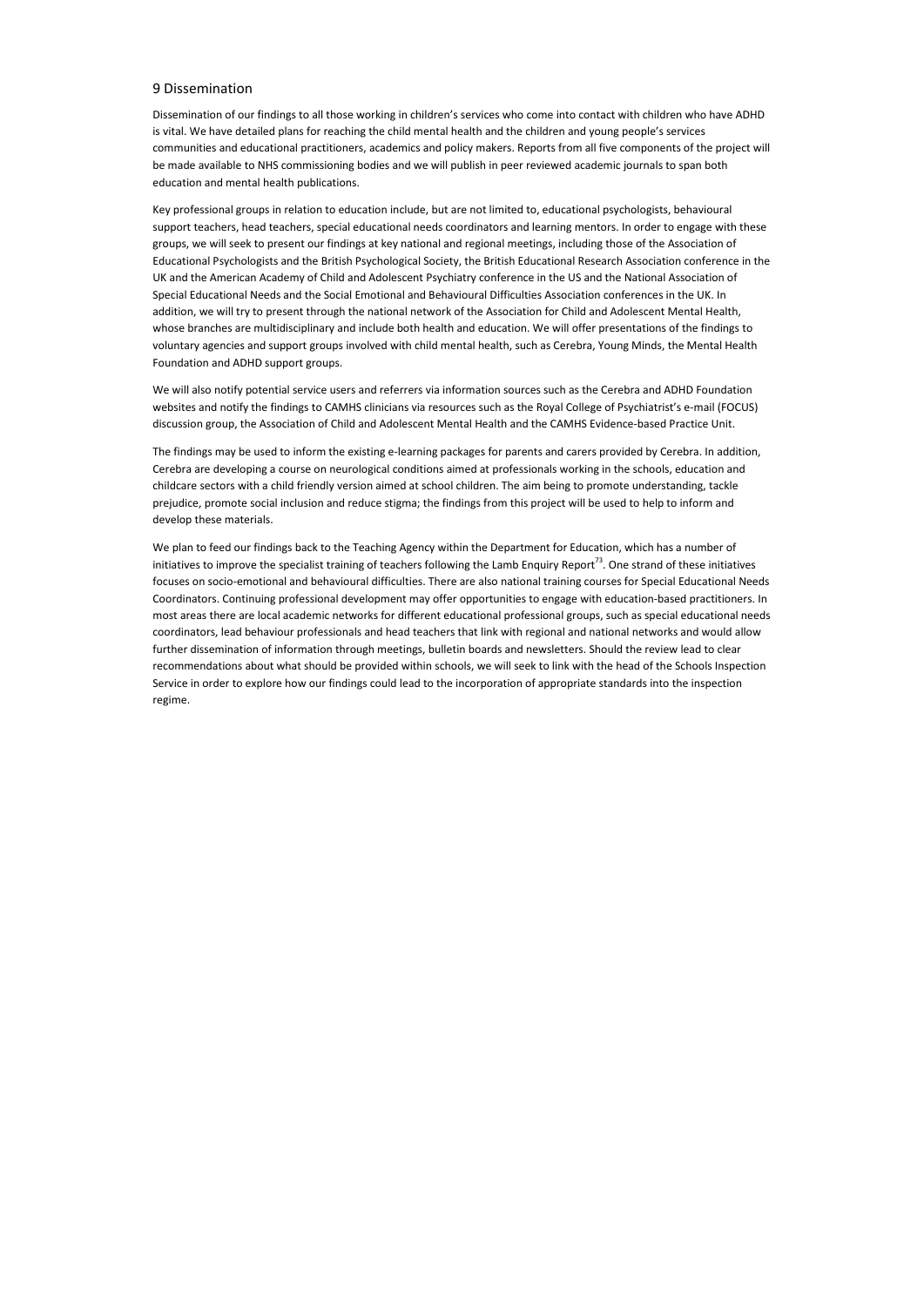## 9 Dissemination

Dissemination of our findings to all those working in children's services who come into contact with children who have ADHD is vital. We have detailed plans for reaching the child mental health and the children and young people's services communities and educational practitioners, academics and policy makers. Reports from all five components of the project will be made available to NHS commissioning bodies and we will publish in peer reviewed academic journals to span both education and mental health publications.

Key professional groups in relation to education include, but are not limited to, educational psychologists, behavioural support teachers, head teachers, special educational needs coordinators and learning mentors. In order to engage with these groups, we will seek to present our findings at key national and regional meetings, including those of the Association of Educational Psychologists and the British Psychological Society, the British Educational Research Association conference in the UK and the American Academy of Child and Adolescent Psychiatry conference in the US and the National Association of Special Educational Needs and the Social Emotional and Behavioural Difficulties Association conferences in the UK. In addition, we will try to present through the national network of the Association for Child and Adolescent Mental Health, whose branches are multidisciplinary and include both health and education. We will offer presentations of the findings to voluntary agencies and support groups involved with child mental health, such as Cerebra, Young Minds, the Mental Health Foundation and ADHD support groups.

We will also notify potential service users and referrers via information sources such as the Cerebra and ADHD Foundation websites and notify the findings to CAMHS clinicians via resources such as the Royal College of Psychiatrist's e-mail (FOCUS) discussion group, the Association of Child and Adolescent Mental Health and the CAMHS Evidence-based Practice Unit.

The findings may be used to inform the existing e-learning packages for parents and carers provided by Cerebra. In addition, Cerebra are developing a course on neurological conditions aimed at professionals working in the schools, education and childcare sectors with a child friendly version aimed at school children. The aim being to promote understanding, tackle prejudice, promote social inclusion and reduce stigma; the findings from this project will be used to help to inform and develop these materials.

We plan to feed our findings back to the Teaching Agency within the Department for Education, which has a number of initiatives to improve the specialist training of teachers following the Lamb Enquiry Report<sup>73</sup>. One strand of these initiatives focuses on socio-emotional and behavioural difficulties. There are also national training courses for Special Educational Needs Coordinators. Continuing professional development may offer opportunities to engage with education-based practitioners. In most areas there are local academic networks for different educational professional groups, such as special educational needs coordinators, lead behaviour professionals and head teachers that link with regional and national networks and would allow further dissemination of information through meetings, bulletin boards and newsletters. Should the review lead to clear recommendations about what should be provided within schools, we will seek to link with the head of the Schools Inspection Service in order to explore how our findings could lead to the incorporation of appropriate standards into the inspection regime.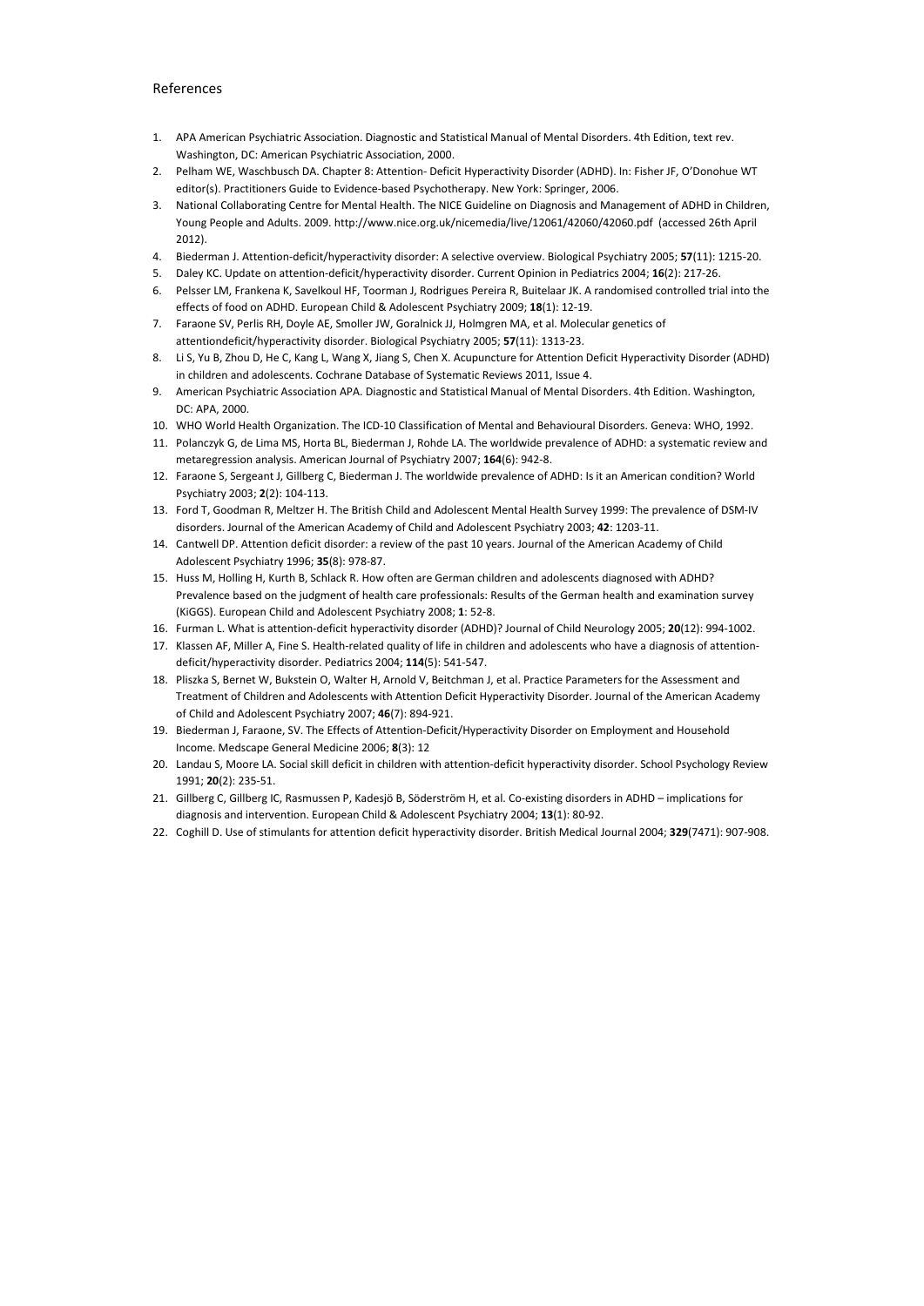## References

- 1. APA American Psychiatric Association. Diagnostic and Statistical Manual of Mental Disorders. 4th Edition, text rev. Washington, DC: American Psychiatric Association, 2000.
- 2. Pelham WE, Waschbusch DA. Chapter 8: Attention- Deficit Hyperactivity Disorder (ADHD). In: Fisher JF, O'Donohue WT editor(s). Practitioners Guide to Evidence-based Psychotherapy. New York: Springer, 2006.
- 3. National Collaborating Centre for Mental Health. The NICE Guideline on Diagnosis and Management of ADHD in Children, Young People and Adults. 2009. http://www.nice.org.uk/nicemedia/live/12061/42060/42060.pdf (accessed 26th April 2012).
- 4. Biederman J. Attention-deficit/hyperactivity disorder: A selective overview. Biological Psychiatry 2005; **57**(11): 1215-20.
- 5. Daley KC. Update on attention-deficit/hyperactivity disorder. Current Opinion in Pediatrics 2004; **16**(2): 217-26.
- 6. Pelsser LM, Frankena K, Savelkoul HF, Toorman J, Rodrigues Pereira R, Buitelaar JK. A randomised controlled trial into the effects of food on ADHD. European Child & Adolescent Psychiatry 2009; **18**(1): 12-19.
- 7. Faraone SV, Perlis RH, Doyle AE, Smoller JW, Goralnick JJ, Holmgren MA, et al. Molecular genetics of attentiondeficit/hyperactivity disorder. Biological Psychiatry 2005; **57**(11): 1313-23.
- 8. Li S, Yu B, Zhou D, He C, Kang L, Wang X, Jiang S, Chen X. Acupuncture for Attention Deficit Hyperactivity Disorder (ADHD) in children and adolescents. Cochrane Database of Systematic Reviews 2011, Issue 4.
- 9. American Psychiatric Association APA. Diagnostic and Statistical Manual of Mental Disorders. 4th Edition. Washington, DC: APA, 2000.
- 10. WHO World Health Organization. The ICD-10 Classification of Mental and Behavioural Disorders. Geneva: WHO, 1992.
- 11. Polanczyk G, de Lima MS, Horta BL, Biederman J, Rohde LA. The worldwide prevalence of ADHD: a systematic review and metaregression analysis. American Journal of Psychiatry 2007; **164**(6): 942-8.
- 12. Faraone S, Sergeant J, Gillberg C, Biederman J. The worldwide prevalence of ADHD: Is it an American condition? World Psychiatry 2003; **2**(2): 104-113.
- 13. Ford T, Goodman R, Meltzer H. The British Child and Adolescent Mental Health Survey 1999: The prevalence of DSM-IV disorders. Journal of the American Academy of Child and Adolescent Psychiatry 2003; **42**: 1203-11.
- 14. Cantwell DP. Attention deficit disorder: a review of the past 10 years. Journal of the American Academy of Child Adolescent Psychiatry 1996; **35**(8): 978-87.
- 15. Huss M, Holling H, Kurth B, Schlack R. How often are German children and adolescents diagnosed with ADHD? Prevalence based on the judgment of health care professionals: Results of the German health and examination survey (KiGGS). European Child and Adolescent Psychiatry 2008; **1**: 52-8.
- 16. Furman L. What is attention-deficit hyperactivity disorder (ADHD)? Journal of Child Neurology 2005; **20**(12): 994-1002.
- 17. Klassen AF, Miller A, Fine S. Health-related quality of life in children and adolescents who have a diagnosis of attentiondeficit/hyperactivity disorder. Pediatrics 2004; **114**(5): 541-547.
- 18. Pliszka S, Bernet W, Bukstein O, Walter H, Arnold V, Beitchman J, et al. Practice Parameters for the Assessment and Treatment of Children and Adolescents with Attention Deficit Hyperactivity Disorder. Journal of the American Academy of Child and Adolescent Psychiatry 2007; **46**(7): 894-921.
- 19. Biederman J, Faraone, SV. The Effects of Attention-Deficit/Hyperactivity Disorder on Employment and Household Income. Medscape General Medicine 2006; **8**(3): 12
- 20. Landau S, Moore LA. Social skill deficit in children with attention-deficit hyperactivity disorder. School Psychology Review 1991; **20**(2): 235-51.
- 21. Gillberg C, Gillberg IC, Rasmussen P, Kadesjö B, Söderström H, et al. Co-existing disorders in ADHD implications for diagnosis and intervention. European Child & Adolescent Psychiatry 2004; **13**(1): 80-92.
- 22. Coghill D. Use of stimulants for attention deficit hyperactivity disorder. British Medical Journal 2004; **329**(7471): 907-908.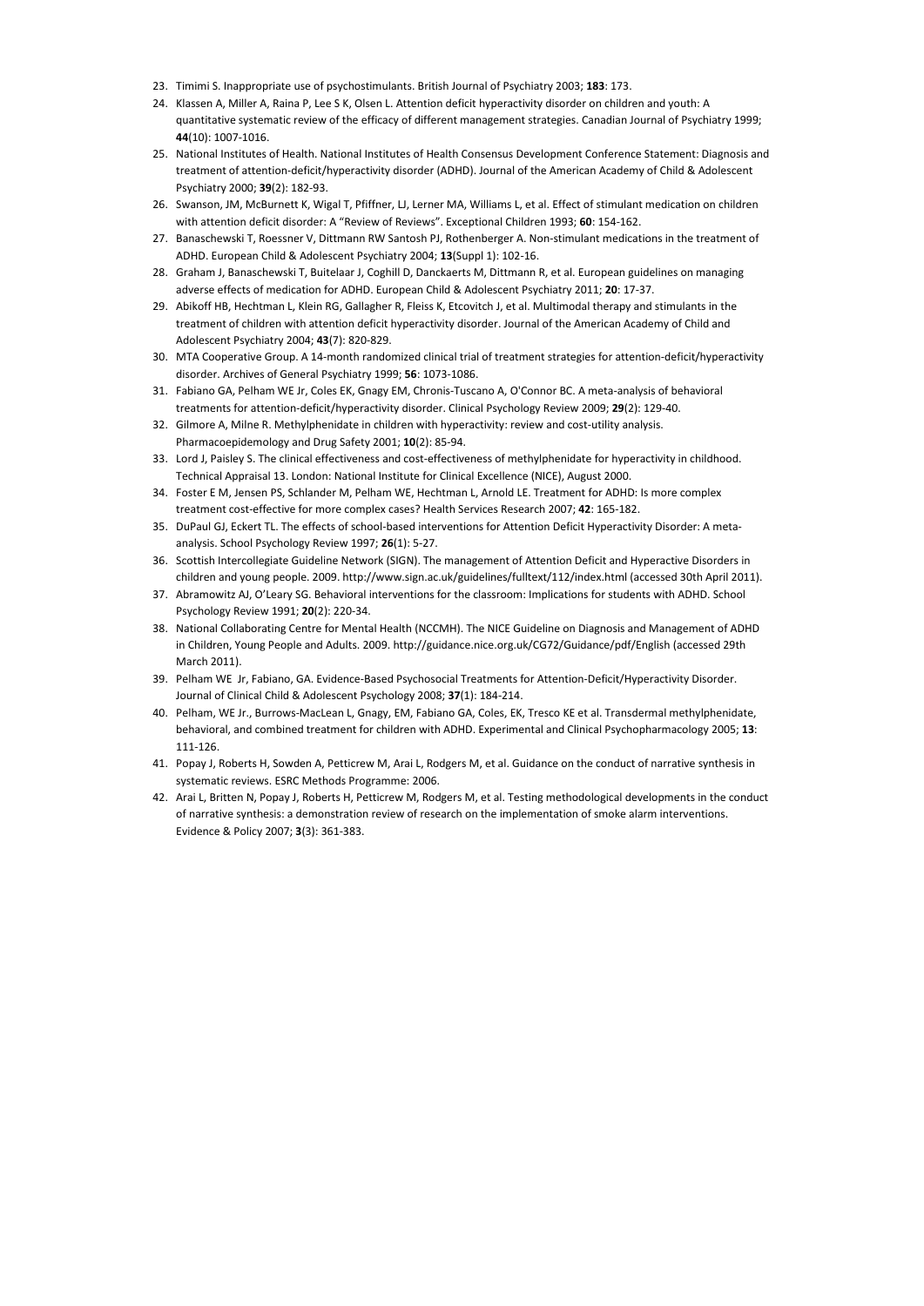- 23. Timimi S. Inappropriate use of psychostimulants. British Journal of Psychiatry 2003; **183**: 173.
- 24. Klassen A, Miller A, Raina P, Lee S K, Olsen L. Attention deficit hyperactivity disorder on children and youth: A quantitative systematic review of the efficacy of different management strategies. Canadian Journal of Psychiatry 1999; **44**(10): 1007-1016.
- 25. National Institutes of Health. National Institutes of Health Consensus Development Conference Statement: Diagnosis and treatment of attention-deficit/hyperactivity disorder (ADHD). Journal of the American Academy of Child & Adolescent Psychiatry 2000; **39**(2): 182-93.
- 26. Swanson, JM, McBurnett K, Wigal T, Pfiffner, LJ, Lerner MA, Williams L, et al. Effect of stimulant medication on children with attention deficit disorder: A "Review of Reviews". Exceptional Children 1993; **60**: 154-162.
- 27. Banaschewski T, Roessner V, Dittmann RW Santosh PJ, Rothenberger A. Non-stimulant medications in the treatment of ADHD. European Child & Adolescent Psychiatry 2004; **13**(Suppl 1): 102-16.
- 28. Graham J, Banaschewski T, Buitelaar J, Coghill D, Danckaerts M, Dittmann R, et al. European guidelines on managing adverse effects of medication for ADHD. European Child & Adolescent Psychiatry 2011; **20**: 17-37.
- 29. Abikoff HB, Hechtman L, Klein RG, Gallagher R, Fleiss K, Etcovitch J, et al. Multimodal therapy and stimulants in the treatment of children with attention deficit hyperactivity disorder. Journal of the American Academy of Child and Adolescent Psychiatry 2004; **43**(7): 820-829.
- 30. MTA Cooperative Group. A 14-month randomized clinical trial of treatment strategies for attention-deficit/hyperactivity disorder. Archives of General Psychiatry 1999; **56**: 1073-1086.
- 31. Fabiano GA, Pelham WE Jr, Coles EK, Gnagy EM, Chronis-Tuscano A, O'Connor BC. A meta-analysis of behavioral treatments for attention-deficit/hyperactivity disorder. Clinical Psychology Review 2009; **29**(2): 129-40.
- 32. Gilmore A, Milne R. Methylphenidate in children with hyperactivity: review and cost-utility analysis. Pharmacoepidemology and Drug Safety 2001; **10**(2): 85-94.
- 33. Lord J, Paisley S. The clinical effectiveness and cost-effectiveness of methylphenidate for hyperactivity in childhood. Technical Appraisal 13. London: National Institute for Clinical Excellence (NICE), August 2000.
- 34. Foster E M, Jensen PS, Schlander M, Pelham WE, Hechtman L, Arnold LE. Treatment for ADHD: Is more complex treatment cost-effective for more complex cases? Health Services Research 2007; **42**: 165-182.
- 35. DuPaul GJ, Eckert TL. The effects of school-based interventions for Attention Deficit Hyperactivity Disorder: A metaanalysis. School Psychology Review 1997; **26**(1): 5-27.
- 36. Scottish Intercollegiate Guideline Network (SIGN). The management of Attention Deficit and Hyperactive Disorders in children and young people. 2009. http://www.sign.ac.uk/guidelines/fulltext/112/index.html (accessed 30th April 2011).
- 37. Abramowitz AJ, O'Leary SG. Behavioral interventions for the classroom: Implications for students with ADHD. School Psychology Review 1991; **20**(2): 220-34.
- 38. National Collaborating Centre for Mental Health (NCCMH). The NICE Guideline on Diagnosis and Management of ADHD in Children, Young People and Adults. 2009. http://guidance.nice.org.uk/CG72/Guidance/pdf/English (accessed 29th March 2011).
- 39. Pelham WE Jr, Fabiano, GA. Evidence-Based Psychosocial Treatments for Attention-Deficit/Hyperactivity Disorder. Journal of Clinical Child & Adolescent Psychology 2008; **37**(1): 184-214.
- 40. Pelham, WE Jr., Burrows-MacLean L, Gnagy, EM, Fabiano GA, Coles, EK, Tresco KE et al. Transdermal methylphenidate, behavioral, and combined treatment for children with ADHD. Experimental and Clinical Psychopharmacology 2005; **13**: 111-126.
- 41. Popay J, Roberts H, Sowden A, Petticrew M, Arai L, Rodgers M, et al. Guidance on the conduct of narrative synthesis in systematic reviews. ESRC Methods Programme: 2006.
- 42. Arai L, Britten N, Popay J, Roberts H, Petticrew M, Rodgers M, et al. Testing methodological developments in the conduct of narrative synthesis: a demonstration review of research on the implementation of smoke alarm interventions. Evidence & Policy 2007; **3**(3): 361-383.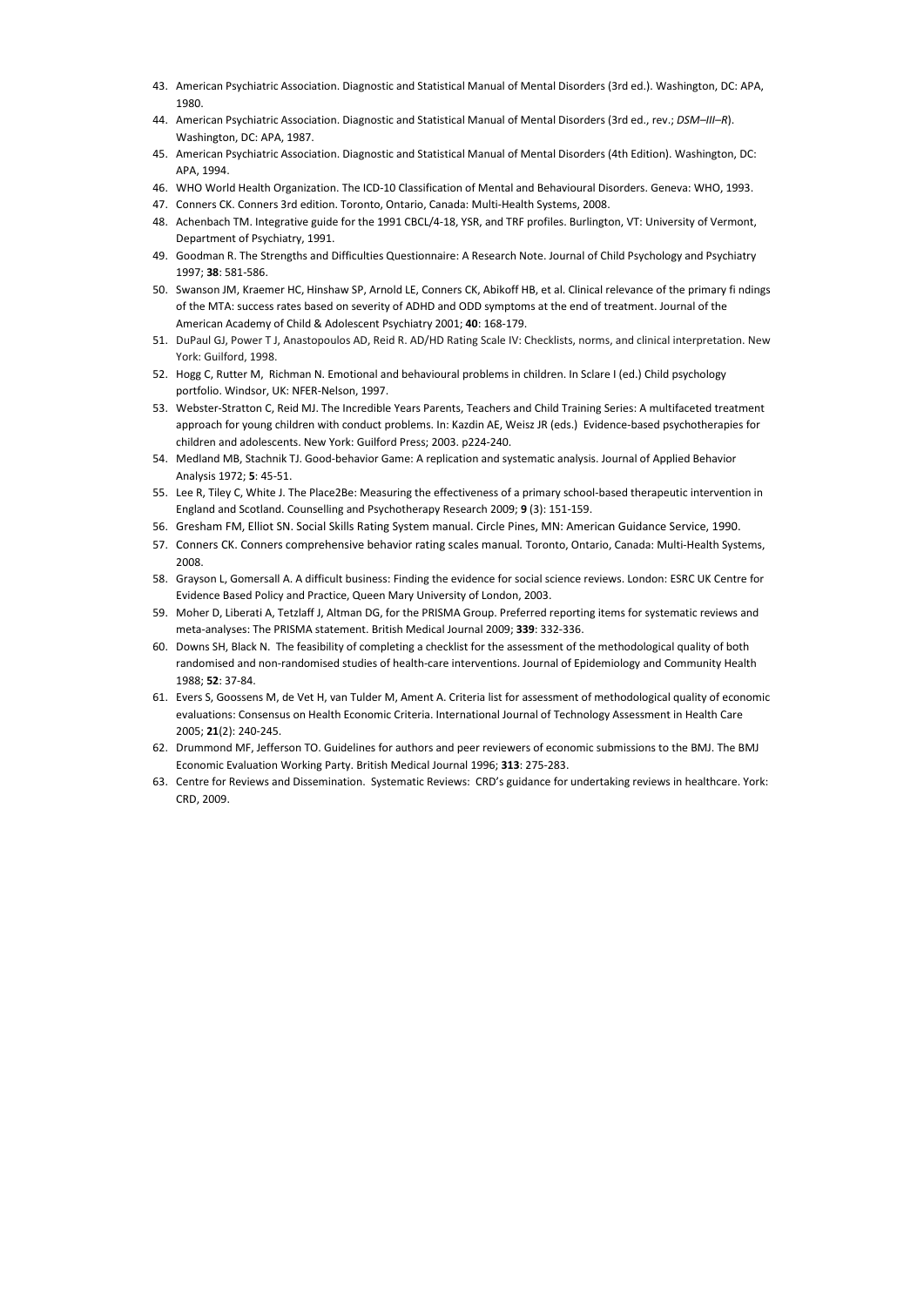- 43. American Psychiatric Association. Diagnostic and Statistical Manual of Mental Disorders (3rd ed.). Washington, DC: APA, 1980.
- 44. American Psychiatric Association. Diagnostic and Statistical Manual of Mental Disorders (3rd ed., rev.; *DSM–III–R*). Washington, DC: APA, 1987.
- 45. American Psychiatric Association. Diagnostic and Statistical Manual of Mental Disorders (4th Edition). Washington, DC: APA, 1994.
- 46. WHO World Health Organization. The ICD-10 Classification of Mental and Behavioural Disorders. Geneva: WHO, 1993.
- 47. Conners CK. Conners 3rd edition. Toronto, Ontario, Canada: Multi-Health Systems, 2008.
- 48. Achenbach TM. Integrative guide for the 1991 CBCL/4-18, YSR, and TRF profiles. Burlington, VT: University of Vermont, Department of Psychiatry, 1991.
- 49. Goodman R. The Strengths and Difficulties Questionnaire: A Research Note. Journal of Child Psychology and Psychiatry 1997; **38**: 581-586.
- 50. Swanson JM, Kraemer HC, Hinshaw SP, Arnold LE, Conners CK, Abikoff HB, et al. Clinical relevance of the primary fi ndings of the MTA: success rates based on severity of ADHD and ODD symptoms at the end of treatment. Journal of the American Academy of Child & Adolescent Psychiatry 2001; **40**: 168-179.
- 51. DuPaul GJ, Power T J, Anastopoulos AD, Reid R. AD/HD Rating Scale IV: Checklists, norms, and clinical interpretation. New York: Guilford, 1998.
- 52. Hogg C, Rutter M, Richman N. Emotional and behavioural problems in children. In Sclare I (ed.) Child psychology portfolio. Windsor, UK: NFER-Nelson, 1997.
- 53. Webster-Stratton C, Reid MJ. The Incredible Years Parents, Teachers and Child Training Series: A multifaceted treatment approach for young children with conduct problems. In: Kazdin AE, Weisz JR (eds.) Evidence-based psychotherapies for children and adolescents. New York: Guilford Press; 2003. p224-240.
- 54. Medland MB, Stachnik TJ. Good-behavior Game: A replication and systematic analysis. Journal of Applied Behavior Analysis 1972; **5**: 45-51.
- 55. Lee R, Tiley C, White J. The Place2Be: Measuring the effectiveness of a primary school-based therapeutic intervention in England and Scotland. Counselling and Psychotherapy Research 2009; **9** (3): 151-159.
- 56. Gresham FM, Elliot SN. Social Skills Rating System manual. Circle Pines, MN: American Guidance Service, 1990.
- 57. Conners CK. Conners comprehensive behavior rating scales manual*.* Toronto, Ontario, Canada: Multi-Health Systems, 2008.
- 58. Grayson L, Gomersall A. A difficult business: Finding the evidence for social science reviews. London: ESRC UK Centre for Evidence Based Policy and Practice, Queen Mary University of London, 2003.
- 59. Moher D, Liberati A, Tetzlaff J, Altman DG, for the PRISMA Group. Preferred reporting items for systematic reviews and meta-analyses: The PRISMA statement. British Medical Journal 2009; **339**: 332-336.
- 60. Downs SH, Black N. The feasibility of completing a checklist for the assessment of the methodological quality of both randomised and non-randomised studies of health-care interventions. Journal of Epidemiology and Community Health 1988; **52**: 37-84.
- 61. Evers S, Goossens M, de Vet H, van Tulder M, Ament A. Criteria list for assessment of methodological quality of economic evaluations: Consensus on Health Economic Criteria. International Journal of Technology Assessment in Health Care 2005; **21**(2): 240-245.
- 62. Drummond MF, Jefferson TO. Guidelines for authors and peer reviewers of economic submissions to the BMJ. The BMJ Economic Evaluation Working Party. British Medical Journal 1996; **313**: 275-283.
- 63. Centre for Reviews and Dissemination. Systematic Reviews: CRD's guidance for undertaking reviews in healthcare. York: CRD, 2009.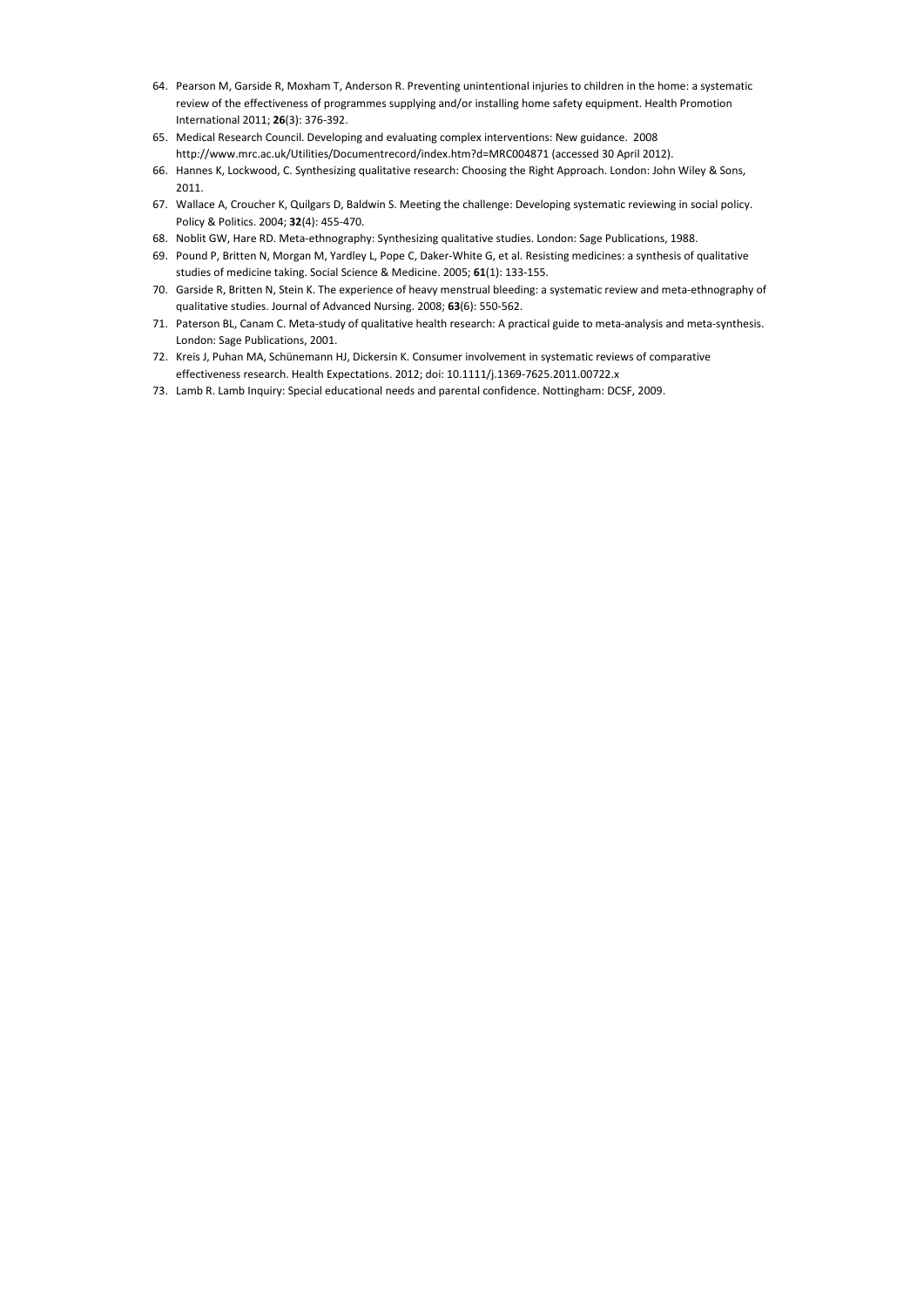- 64. Pearson M, Garside R, Moxham T, Anderson R. Preventing unintentional injuries to children in the home: a systematic review of the effectiveness of programmes supplying and/or installing home safety equipment. Health Promotion International 2011; **26**(3): 376-392.
- 65. Medical Research Council. Developing and evaluating complex interventions: New guidance. 2008 http://www.mrc.ac.uk/Utilities/Documentrecord/index.htm?d=MRC004871 (accessed 30 April 2012).
- 66. Hannes K, Lockwood, C. Synthesizing qualitative research: Choosing the Right Approach. London: John Wiley & Sons, 2011.
- 67. Wallace A, Croucher K, Quilgars D, Baldwin S. Meeting the challenge: Developing systematic reviewing in social policy. Policy & Politics. 2004; **32**(4): 455-470.
- 68. Noblit GW, Hare RD. Meta-ethnography: Synthesizing qualitative studies. London: Sage Publications, 1988.
- 69. Pound P, Britten N, Morgan M, Yardley L, Pope C, Daker-White G, et al. Resisting medicines: a synthesis of qualitative studies of medicine taking. Social Science & Medicine. 2005; **61**(1): 133-155.
- 70. Garside R, Britten N, Stein K. The experience of heavy menstrual bleeding: a systematic review and meta-ethnography of qualitative studies. Journal of Advanced Nursing. 2008; **63**(6): 550-562.
- 71. Paterson BL, Canam C. Meta-study of qualitative health research: A practical guide to meta-analysis and meta-synthesis. London: Sage Publications, 2001.
- 72. Kreis J, Puhan MA, Schünemann HJ, Dickersin K. Consumer involvement in systematic reviews of comparative effectiveness research. Health Expectations. 2012; doi: 10.1111/j.1369-7625.2011.00722.x
- 73. Lamb R. Lamb Inquiry: Special educational needs and parental confidence. Nottingham: DCSF, 2009.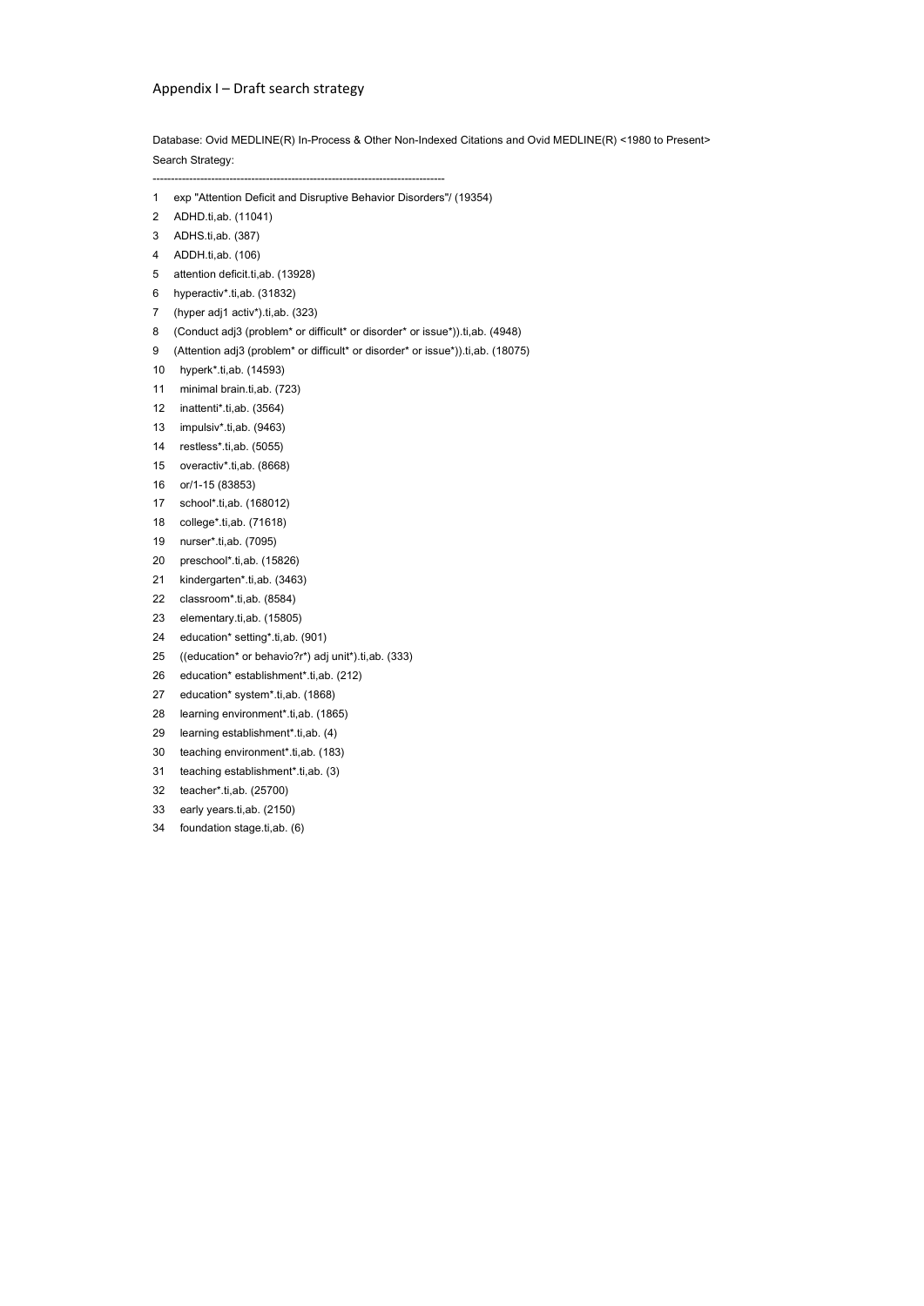## Appendix I – Draft search strategy

Database: Ovid MEDLINE(R) In-Process & Other Non-Indexed Citations and Ovid MEDLINE(R) <1980 to Present> Search Strategy:

--------------------------------------------------------------------------------

1 exp "Attention Deficit and Disruptive Behavior Disorders"/ (19354)

- 2 ADHD.ti,ab. (11041)
- 3 ADHS.ti,ab. (387)
- 4 ADDH.ti,ab. (106)
- 5 attention deficit.ti,ab. (13928)
- 6 hyperactiv\*.ti,ab. (31832)
- 7 (hyper adj1 activ\*).ti,ab. (323)
- 8 (Conduct adj3 (problem<sup>\*</sup> or difficult<sup>\*</sup> or disorder<sup>\*</sup> or issue<sup>\*</sup>)).ti,ab. (4948)
- 9 (Attention adj3 (problem<sup>\*</sup> or difficult<sup>\*</sup> or disorder<sup>\*</sup> or issue<sup>\*</sup>)).ti,ab. (18075)
- 10 hyperk\*.ti,ab. (14593)
- 11 minimal brain.ti,ab. (723)
- 12 inattenti\*.ti,ab. (3564)
- 13 impulsiv\*.ti,ab. (9463)
- 14 restless\*.ti,ab. (5055)
- 15 overactiv\*.ti,ab. (8668)
- 16 or/1-15 (83853)
- 17 school\*.ti,ab. (168012)
- 18 college\*.ti,ab. (71618)
- 19 nurser\*.ti,ab. (7095)
- 20 preschool\*.ti,ab. (15826)
- 21 kindergarten\*.ti,ab. (3463)
- 22 classroom\*.ti,ab. (8584)
- 23 elementary.ti,ab. (15805)
- 24 education\* setting\*.ti,ab. (901)
- 25 ((education\* or behavio?r\*) adj unit\*).ti,ab. (333)
- 26 education\* establishment\*.ti,ab. (212)
- 27 education\* system\*.ti,ab. (1868)
- 28 learning environment\*.ti,ab. (1865)
- 29 learning establishment\*.ti,ab. (4)
- 30 teaching environment\*.ti,ab. (183)
- 31 teaching establishment\*.ti,ab. (3)
- 32 teacher\*.ti,ab. (25700)
- 33 early years.ti,ab. (2150)
- 34 foundation stage.ti,ab. (6)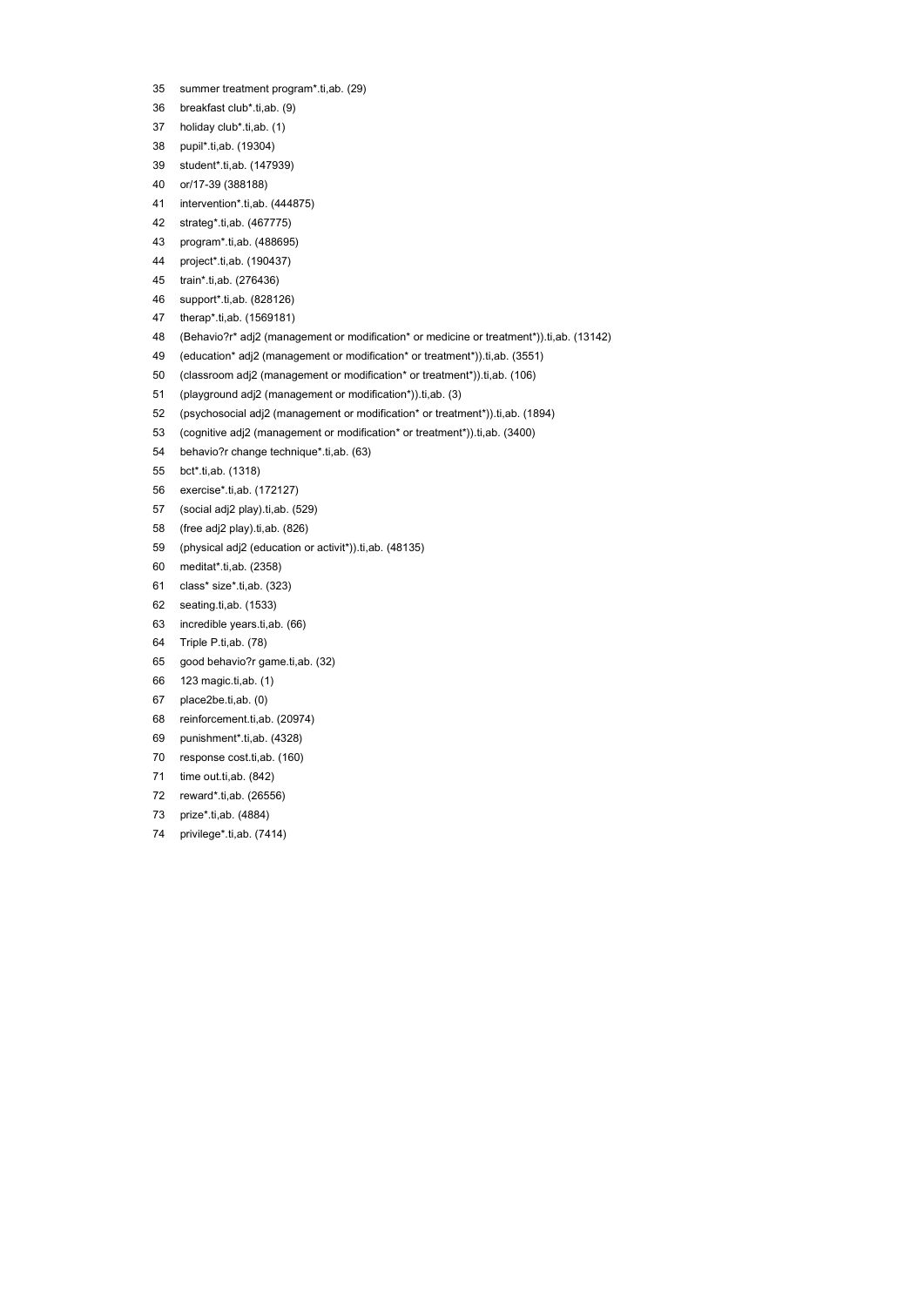- 35 summer treatment program\*.ti,ab. (29)
- 36 breakfast club\*.ti,ab. (9)
- 37 holiday club\*.ti,ab. (1)
- 38 pupil\*.ti,ab. (19304)
- 39 student\*.ti,ab. (147939)
- 40 or/17-39 (388188)
- 41 intervention\*.ti,ab. (444875)
- 42 strateg\*.ti,ab. (467775)
- 43 program\*.ti,ab. (488695)
- 44 project\*.ti,ab. (190437)
- 45 train\*.ti,ab. (276436)
- 46 support\*.ti,ab. (828126)
- 47 therap\*.ti,ab. (1569181)
- 48 (Behavio?r\* adj2 (management or modification\* or medicine or treatment\*)).ti,ab. (13142)
- 49 (education\* adj2 (management or modification\* or treatment\*)).ti,ab. (3551)
- 50 (classroom adj2 (management or modification\* or treatment\*)).ti,ab. (106)
- 51 (playground adj2 (management or modification\*)).ti,ab. (3)
- 52 (psychosocial adj2 (management or modification\* or treatment\*)).ti,ab. (1894)
- 53 (cognitive adj2 (management or modification\* or treatment\*)).ti,ab. (3400)
- 54 behavio?r change technique\*.ti,ab. (63)
- 55 bct\*.ti,ab. (1318)
- 56 exercise\*.ti,ab. (172127)
- 57 (social adj2 play).ti,ab. (529)
- 58 (free adj2 play).ti,ab. (826)
- 59 (physical adj2 (education or activit\*)).ti,ab. (48135)
- 60 meditat\*.ti,ab. (2358)
- 61 class\* size\*.ti,ab. (323)
- 62 seating.ti,ab. (1533)
- 63 incredible years.ti,ab. (66)
- 64 Triple P.ti,ab. (78)
- 65 good behavio?r game.ti,ab. (32)
- 66 123 magic.ti,ab. (1)
- 67 place2be.ti,ab. (0)
- 68 reinforcement.ti,ab. (20974)
- 69 punishment\*.ti,ab. (4328)
- 70 response cost.ti,ab. (160)
- 71 time out.ti, ab. (842)
- 72 reward\*.ti,ab. (26556)
- 73 prize\*.ti,ab. (4884)
- 74 privilege\*.ti,ab. (7414)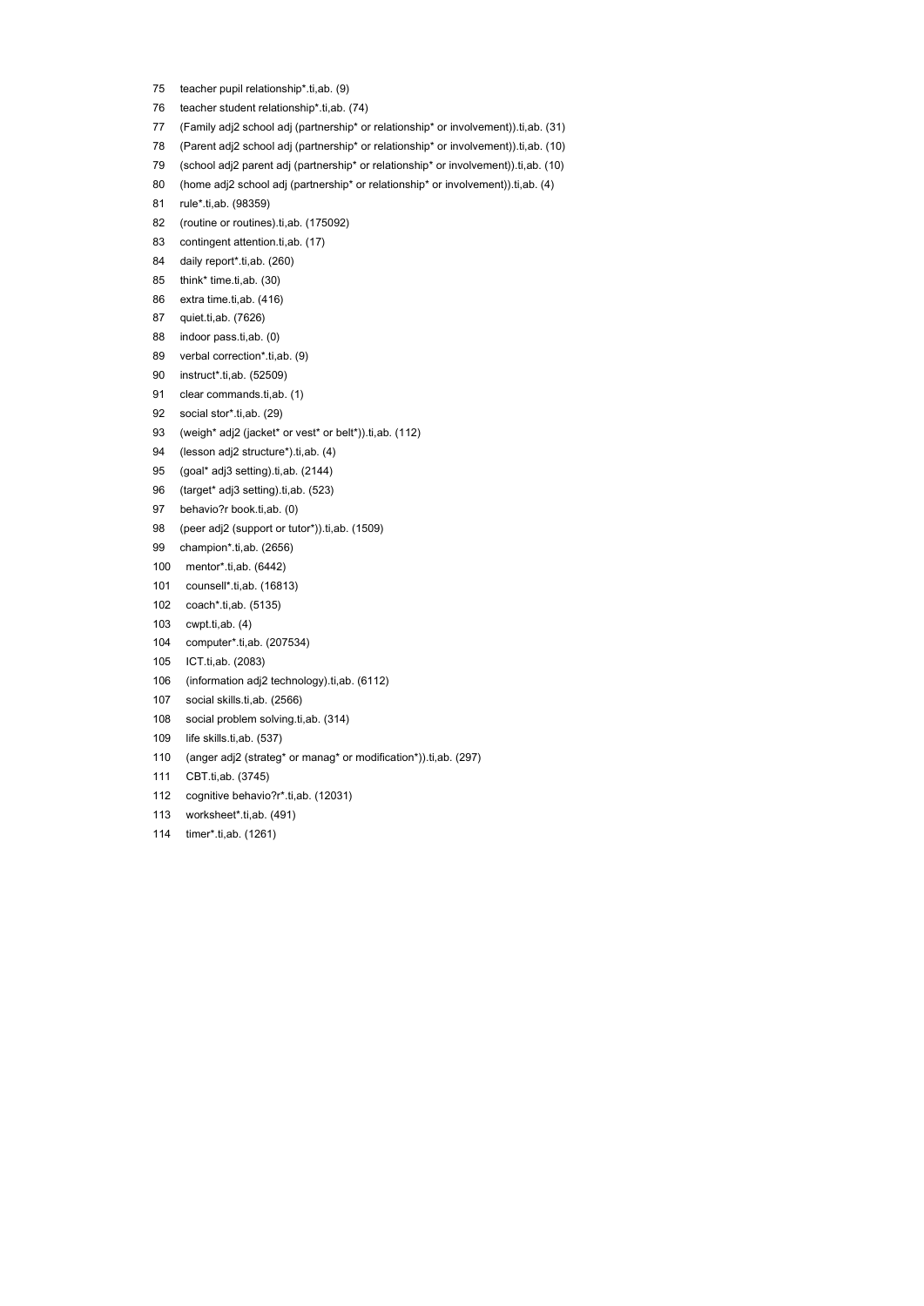- 75 teacher pupil relationship\*.ti,ab. (9)
- 76 teacher student relationship\*.ti,ab. (74)
- 77 (Family adj2 school adj (partnership\* or relationship\* or involvement)).ti,ab. (31)
- 78 (Parent adj2 school adj (partnership\* or relationship\* or involvement)).ti,ab. (10)
- 79 (school adj2 parent adj (partnership\* or relationship\* or involvement)).ti,ab. (10)
- 80 (home adj2 school adj (partnership\* or relationship\* or involvement)).ti,ab. (4)
- 81 rule\*.ti,ab. (98359)
- 82 (routine or routines).ti,ab. (175092)
- 83 contingent attention.ti,ab. (17)
- 84 daily report\*.ti, ab. (260)
- 85 think\* time.ti,ab. (30)
- 86 extra time.ti,ab. (416)
- 87 quiet.ti,ab. (7626)
- 88 indoor pass.ti,ab. (0)
- 89 verbal correction\*.ti,ab. (9)
- 90 instruct\*.ti,ab. (52509)
- 91 clear commands.ti,ab. (1)
- 92 social stor\*.ti,ab. (29)
- 93 (weigh\* adj2 (jacket\* or vest\* or belt\*)).ti,ab. (112)
- 94 (lesson adj2 structure\*).ti,ab. (4)
- 95 (goal\* adj3 setting).ti,ab. (2144)
- 96 (target\* adj3 setting).ti,ab. (523)
- 97 behavio?r book.ti,ab. (0)
- 98 (peer adj2 (support or tutor\*)).ti,ab. (1509)
- 99 champion\*.ti,ab. (2656)
- 100 mentor\*.ti,ab. (6442)
- 101 counsell\*.ti,ab. (16813)
- 102 coach\*.ti,ab. (5135)
- 103 cwpt.ti,ab. (4)
- 104 computer\*.ti,ab. (207534)
- 105 ICT.ti,ab. (2083)
- 106 (information adj2 technology).ti,ab. (6112)
- 107 social skills.ti,ab. (2566)
- 108 social problem solving.ti,ab. (314)
- 109 life skills.ti,ab. (537)
- 110 (anger adj2 (strateg\* or manag\* or modification\*)).ti,ab. (297)
- 111 CBT.ti,ab. (3745)
- 112 cognitive behavio?r\*.ti,ab. (12031)
- 113 worksheet\*.ti,ab. (491)
- 114 timer\*.ti,ab. (1261)